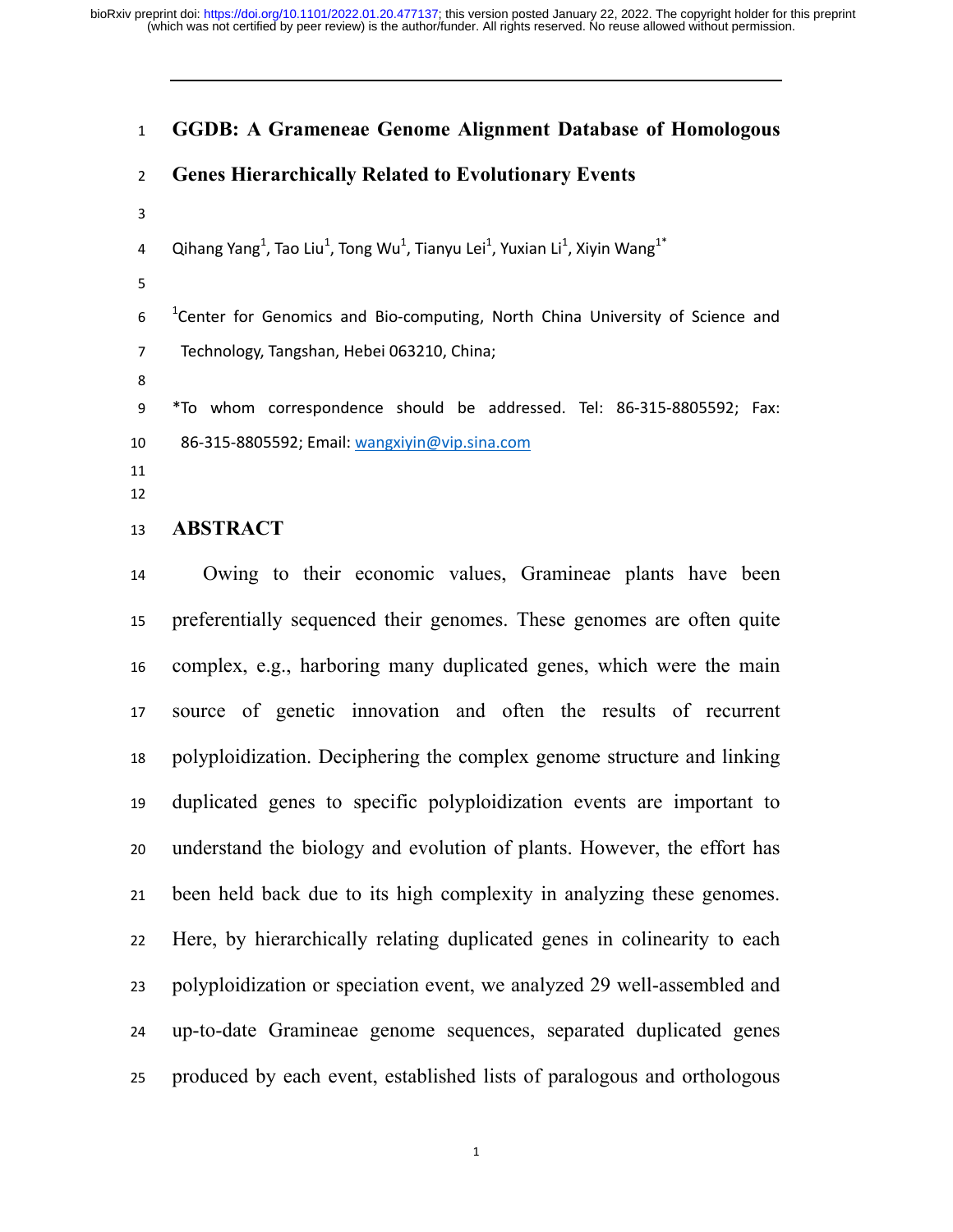# **GGDB: A Grameneae Genome Alignment Database of Homologous**

# **Genes Hierarchically Related to Evolutionary Events**

- 
- 4 Qihang Yang<sup>1</sup>, Tao Liu<sup>1</sup>, Tong Wu<sup>1</sup>, Tianyu Lei<sup>1</sup>, Yuxian Li<sup>1</sup>, Xiyin Wang<sup>1\*</sup>
- 

6 <sup>1</sup> Center for Genomics and Bio-computing, North China University of Science and 7 Technology, Tangshan, Hebei 063210, China;

9 \*To whom correspondence should be addressed. Tel: 86-315-8805592; Fax: 10 86-315-8805592; Email: wangxiyin@vip.sina.com

#### **ABSTRACT**

Owing to their economic values, Gramineae plants have been preferentially sequenced their genomes. These genomes are often quite complex, e.g., harboring many duplicated genes, which were the main source of genetic innovation and often the results of recurrent polyploidization. Deciphering the complex genome structure and linking duplicated genes to specific polyploidization events are important to understand the biology and evolution of plants. However, the effort has been held back due to its high complexity in analyzing these genomes. Here, by hierarchically relating duplicated genes in colinearity to each polyploidization or speciation event, we analyzed 29 well-assembled and up-to-date Gramineae genome sequences, separated duplicated genes produced by each event, established lists of paralogous and orthologous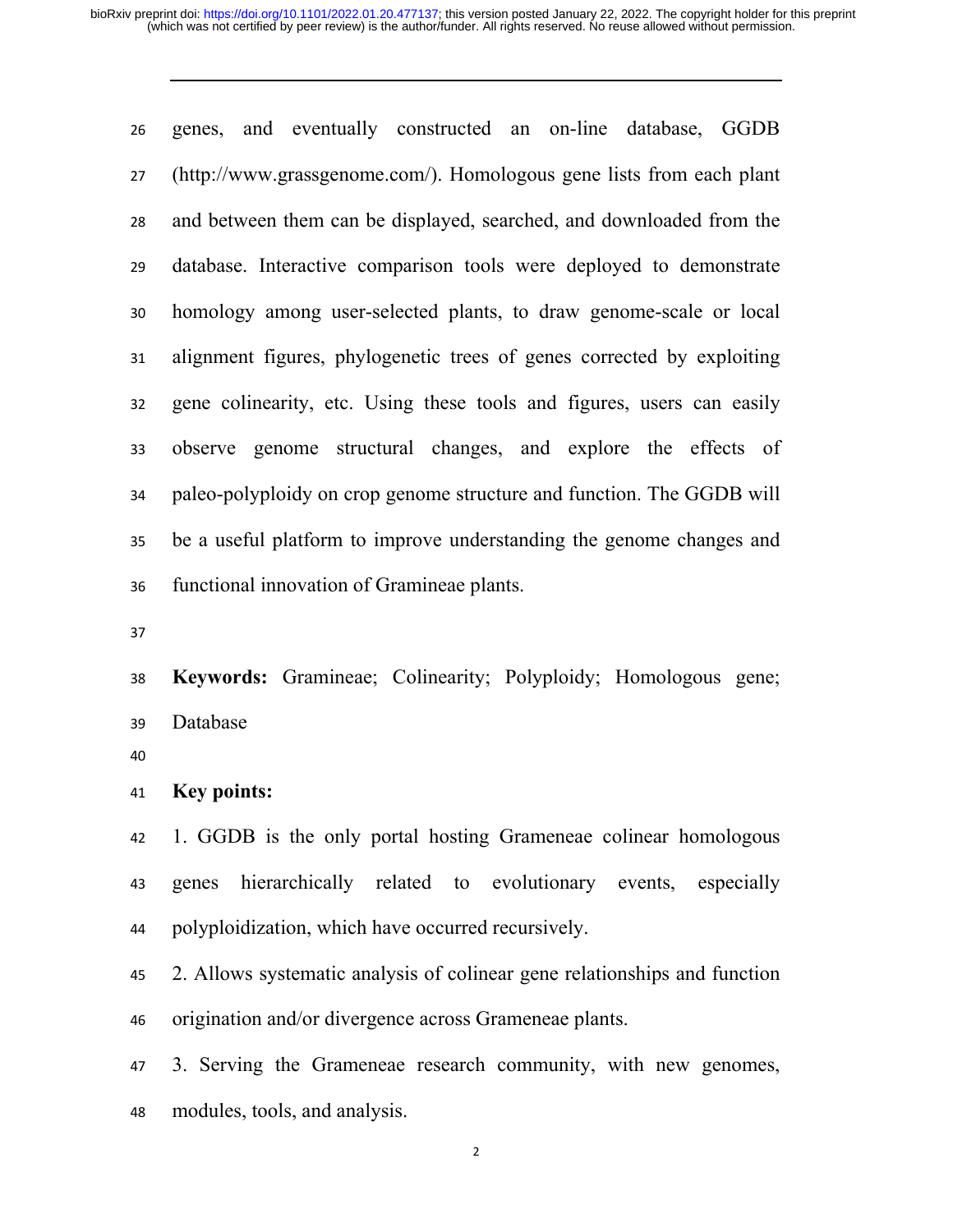genes, and eventually constructed an on-line database, GGDB (http://www.grassgenome.com/). Homologous gene lists from each plant and between them can be displayed, searched, and downloaded from the database. Interactive comparison tools were deployed to demonstrate homology among user-selected plants, to draw genome-scale or local alignment figures, phylogenetic trees of genes corrected by exploiting gene colinearity, etc. Using these tools and figures, users can easily observe genome structural changes, and explore the effects of paleo-polyploidy on crop genome structure and function. The GGDB will be a useful platform to improve understanding the genome changes and functional innovation of Gramineae plants.

**Keywords:** Gramineae; Colinearity; Polyploidy; Homologous gene; Database

**Key points:** 

1. GGDB is the only portal hosting Grameneae colinear homologous genes hierarchically related to evolutionary events, especially polyploidization, which have occurred recursively.

2. Allows systematic analysis of colinear gene relationships and function origination and/or divergence across Grameneae plants.

3. Serving the Grameneae research community, with new genomes, modules, tools, and analysis.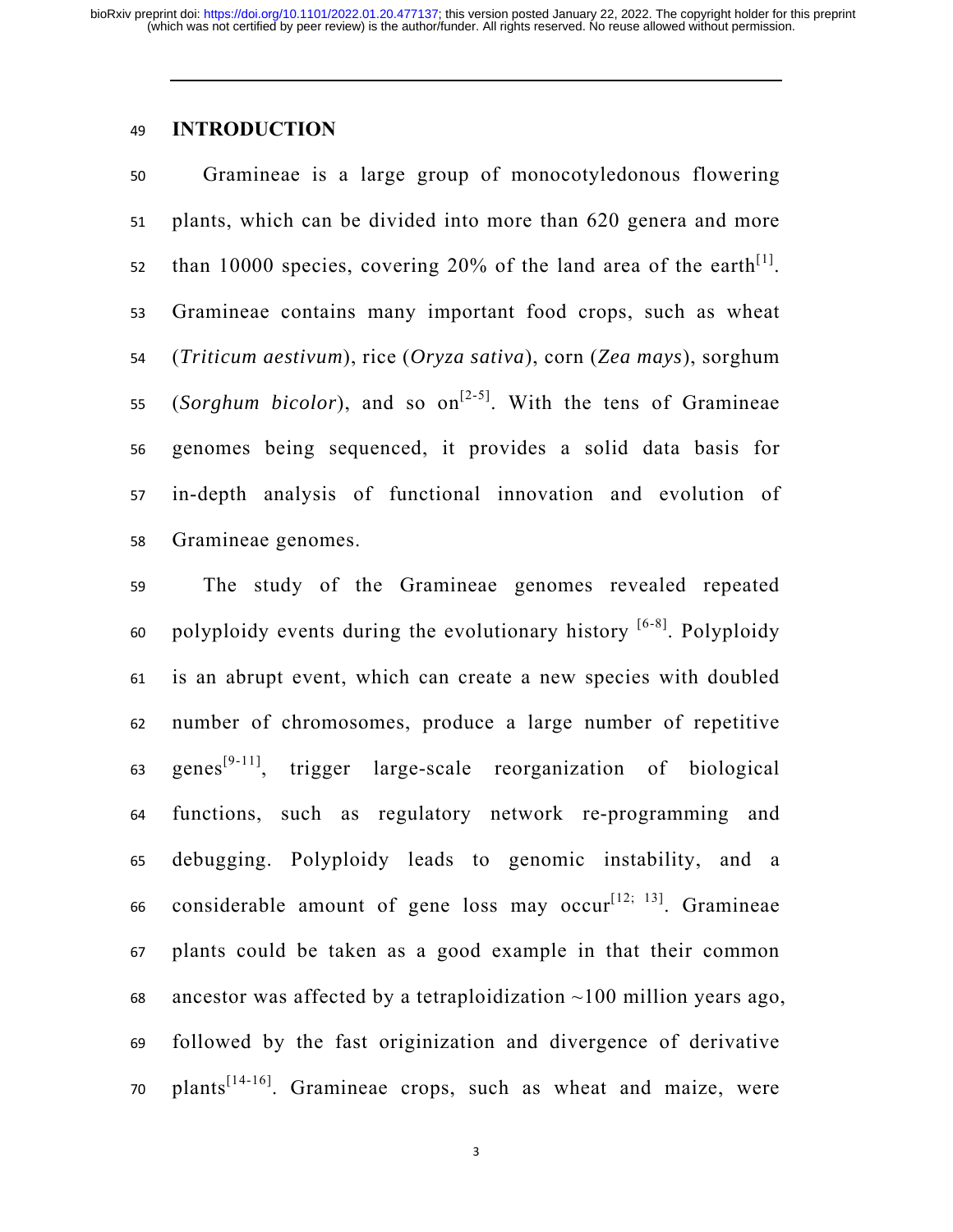# **INTRODUCTION**

Gramineae is a large group of monocotyledonous flowering plants, which can be divided into more than 620 genera and more than 10000 species, covering 20% of the land area of the earth<sup>[1]</sup>. Gramineae contains many important food crops, such as wheat (*Triticum aestivum*), rice (*Oryza sativa*), corn (*Zea mays*), sorghum 55. (*Sorghum bicolor*), and so on<sup>[2-5]</sup>. With the tens of Gramineae genomes being sequenced, it provides a solid data basis for in-depth analysis of functional innovation and evolution of Gramineae genomes.

The study of the Gramineae genomes revealed repeated 60 polyploidy events during the evolutionary history  $[6-8]$ . Polyploidy is an abrupt event, which can create a new species with doubled number of chromosomes, produce a large number of repetitive 63 genes<sup>[9-11]</sup>, trigger large-scale reorganization of biological functions, such as regulatory network re-programming and debugging. Polyploidy leads to genomic instability, and a 66 considerable amount of gene loss may occur<sup>[12; 13]</sup>. Gramineae plants could be taken as a good example in that their common 68 ancestor was affected by a tetraploidization  $\sim$ 100 million years ago, followed by the fast originization and divergence of derivative 70. plants<sup>[14-16]</sup>. Gramineae crops, such as wheat and maize, were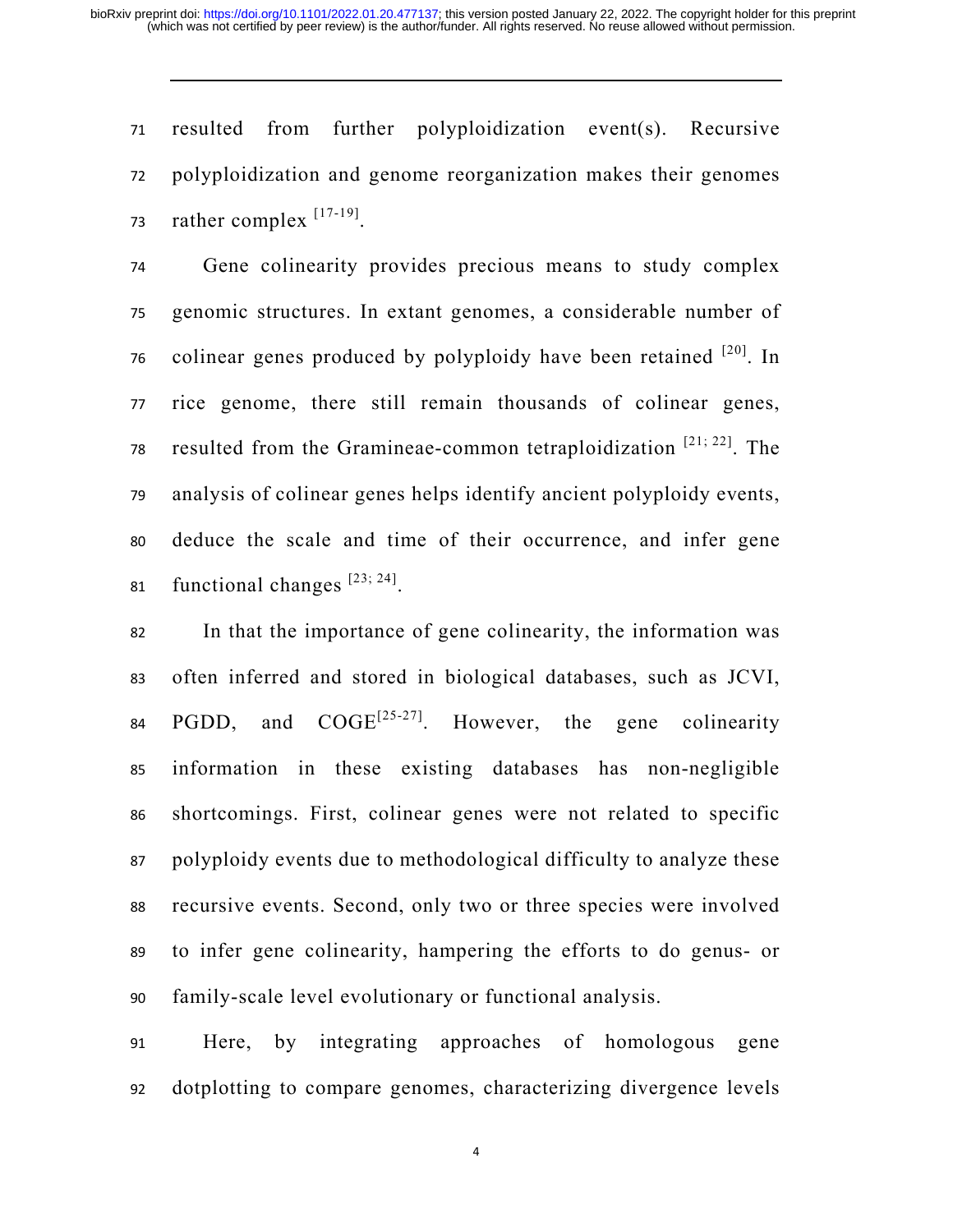resulted from further polyploidization event(s). Recursive polyploidization and genome reorganization makes their genomes 73 rather complex  $^{[17-19]}$ .

Gene colinearity provides precious means to study complex genomic structures. In extant genomes, a considerable number of colinear genes produced by polyploidy have been retained  $[20]$ . In rice genome, there still remain thousands of colinear genes, 78 resulted from the Gramineae-common tetraploidization  $[21; 22]$ . The analysis of colinear genes helps identify ancient polyploidy events, deduce the scale and time of their occurrence, and infer gene 81 functional changes  $[23; 24]$ .

In that the importance of gene colinearity, the information was often inferred and stored in biological databases, such as JCVI, 84 PGDD, and  $COGE^{[25-27]}$ . However, the gene colinearity information in these existing databases has non-negligible shortcomings. First, colinear genes were not related to specific polyploidy events due to methodological difficulty to analyze these recursive events. Second, only two or three species were involved to infer gene colinearity, hampering the efforts to do genus- or family-scale level evolutionary or functional analysis.

Here, by integrating approaches of homologous gene dotplotting to compare genomes, characterizing divergence levels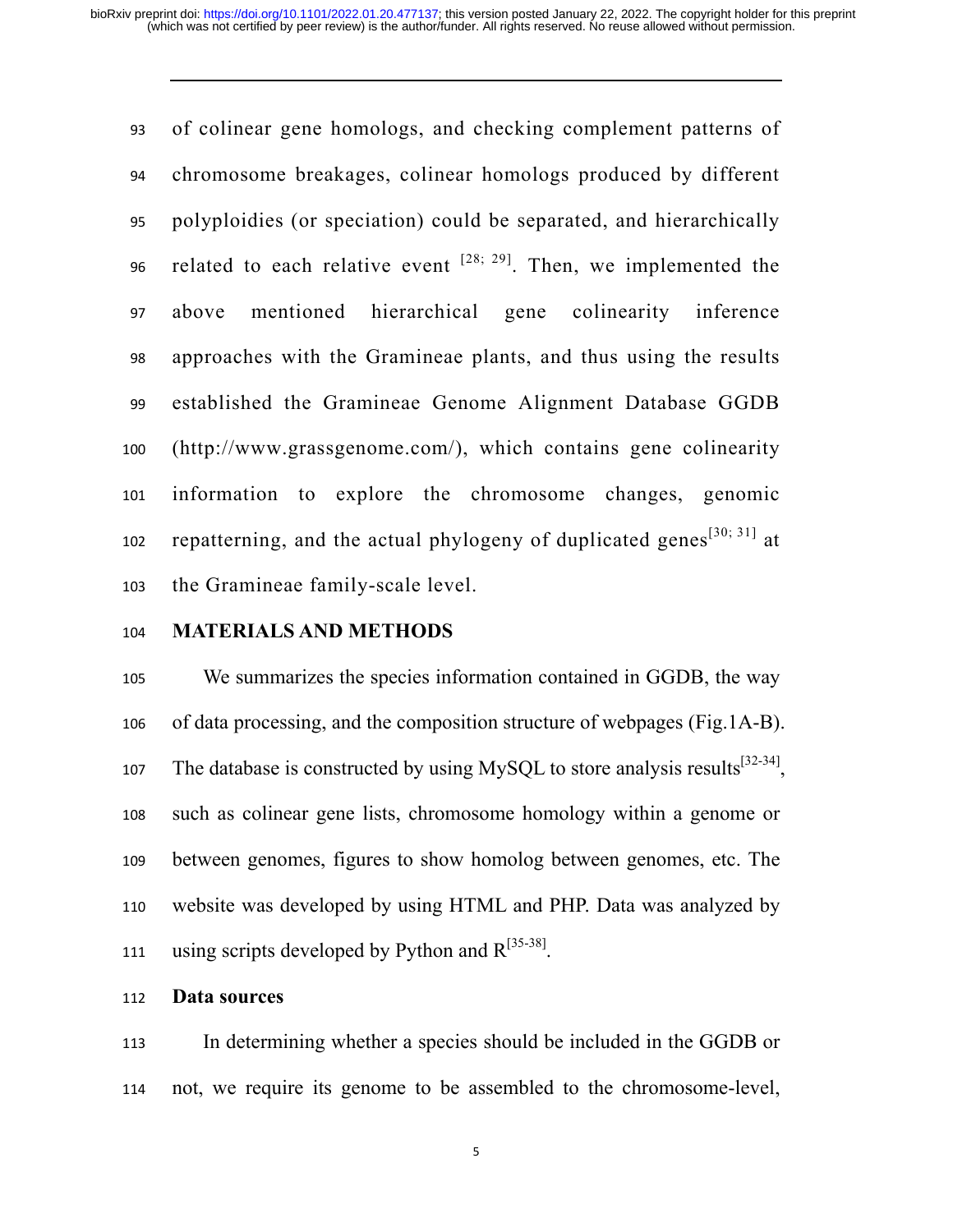of colinear gene homologs, and checking complement patterns of chromosome breakages, colinear homologs produced by different polyploidies (or speciation) could be separated, and hierarchically 96 related to each relative event  $[28; 29]$ . Then, we implemented the above mentioned hierarchical gene colinearity inference approaches with the Gramineae plants, and thus using the results established the Gramineae Genome Alignment Database GGDB (http://www.grassgenome.com/), which contains gene colinearity information to explore the chromosome changes, genomic repatterning, and the actual phylogeny of duplicated genes<sup>[30; 31]</sup> at the Gramineae family-scale level.

# **MATERIALS AND METHODS**

We summarizes the species information contained in GGDB, the way of data processing, and the composition structure of webpages (Fig.1A-B). 107 The database is constructed by using MySQL to store analysis results<sup>[32-34]</sup>. such as colinear gene lists, chromosome homology within a genome or between genomes, figures to show homolog between genomes, etc. The website was developed by using HTML and PHP. Data was analyzed by 111 using scripts developed by Python and  $R^{[35-38]}$ .

# **Data sources**

In determining whether a species should be included in the GGDB or not, we require its genome to be assembled to the chromosome-level,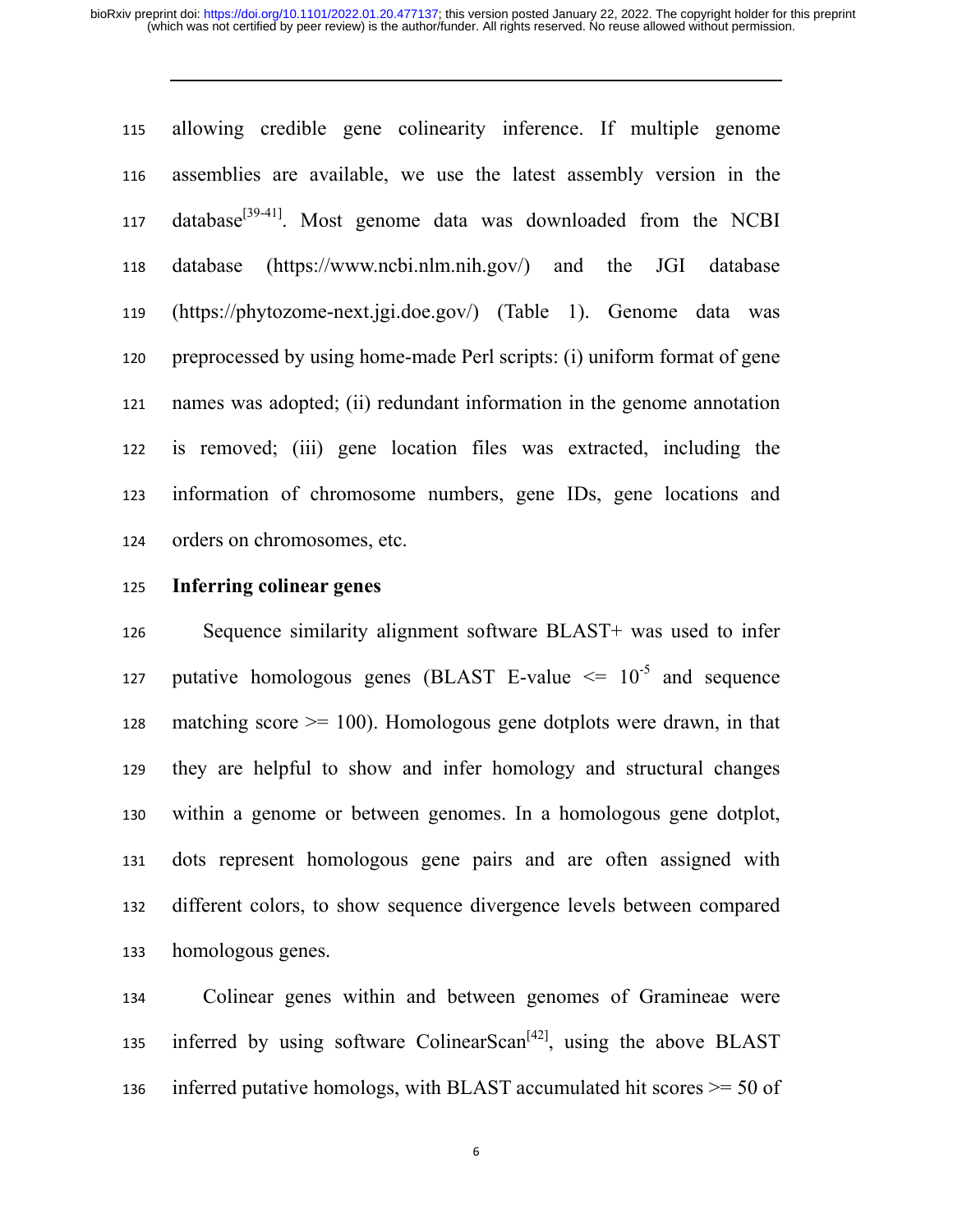allowing credible gene colinearity inference. If multiple genome assemblies are available, we use the latest assembly version in the 117 database<sup>[39-41]</sup>. Most genome data was downloaded from the NCBI database (https://www.ncbi.nlm.nih.gov/) and the JGI database (https://phytozome-next.jgi.doe.gov/) (Table 1). Genome data was preprocessed by using home-made Perl scripts: (i) uniform format of gene names was adopted; (ii) redundant information in the genome annotation is removed; (iii) gene location files was extracted, including the information of chromosome numbers, gene IDs, gene locations and orders on chromosomes, etc.

### **Inferring colinear genes**

Sequence similarity alignment software BLAST+ was used to infer 127 putative homologous genes (BLAST E-value  $\leq 10^{-5}$  and sequence 128 matching score  $\geq$  100). Homologous gene dotplots were drawn, in that they are helpful to show and infer homology and structural changes within a genome or between genomes. In a homologous gene dotplot, dots represent homologous gene pairs and are often assigned with different colors, to show sequence divergence levels between compared homologous genes.

Colinear genes within and between genomes of Gramineae were inferred by using software ColinearScan<sup>[42]</sup>, using the above BLAST 136 inferred putative homologs, with BLAST accumulated hit scores  $\geq$  50 of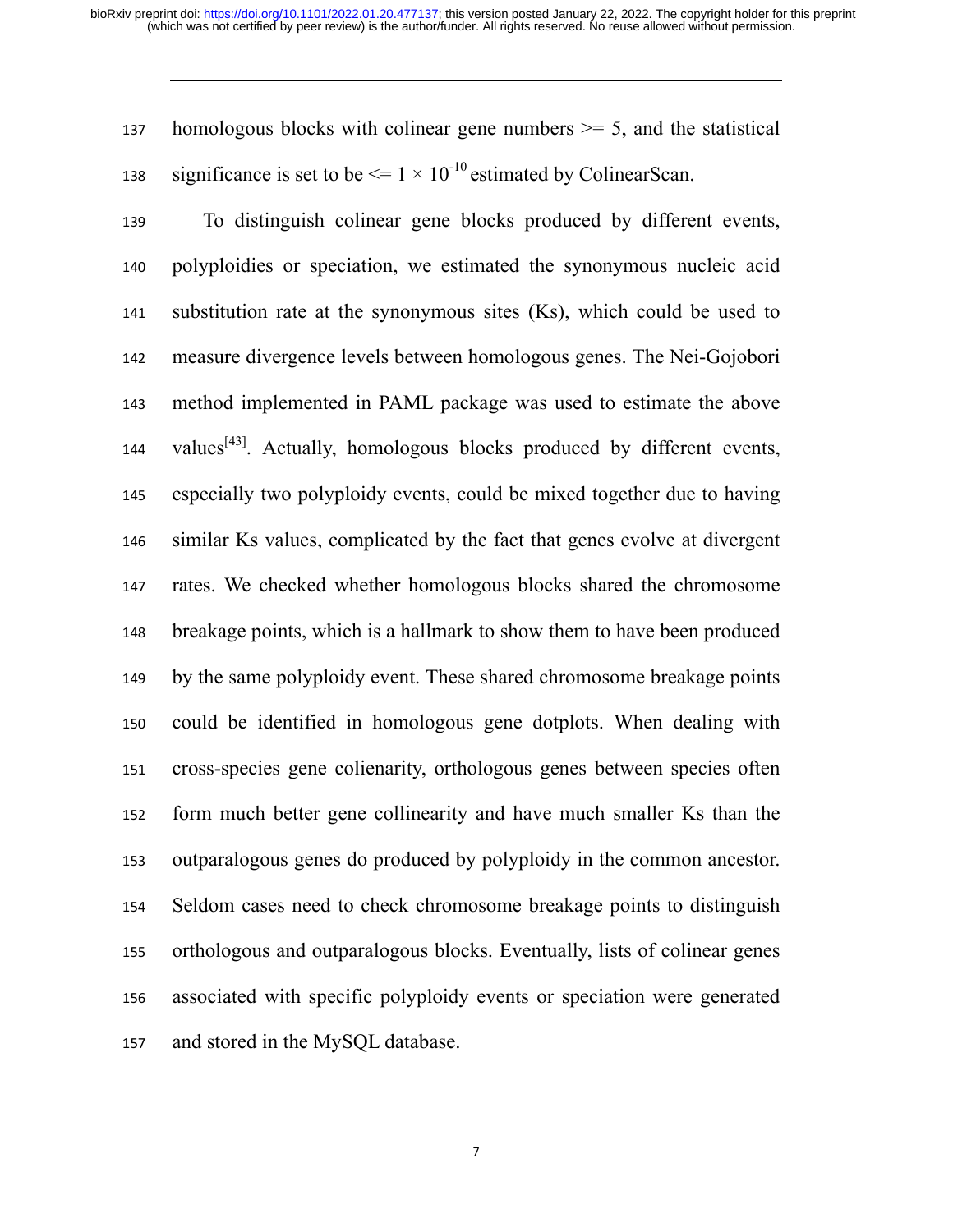137 homologous blocks with colinear gene numbers  $\geq$  5, and the statistical significance is set to be  $\leq 1 \times 10^{-10}$  estimated by ColinearScan.

To distinguish colinear gene blocks produced by different events, polyploidies or speciation, we estimated the synonymous nucleic acid substitution rate at the synonymous sites (Ks), which could be used to measure divergence levels between homologous genes. The Nei-Gojobori method implemented in PAML package was used to estimate the above 144. values $^{[43]}$ . Actually, homologous blocks produced by different events, especially two polyploidy events, could be mixed together due to having similar Ks values, complicated by the fact that genes evolve at divergent rates. We checked whether homologous blocks shared the chromosome breakage points, which is a hallmark to show them to have been produced by the same polyploidy event. These shared chromosome breakage points could be identified in homologous gene dotplots. When dealing with cross-species gene colienarity, orthologous genes between species often form much better gene collinearity and have much smaller Ks than the outparalogous genes do produced by polyploidy in the common ancestor. Seldom cases need to check chromosome breakage points to distinguish orthologous and outparalogous blocks. Eventually, lists of colinear genes associated with specific polyploidy events or speciation were generated and stored in the MySQL database.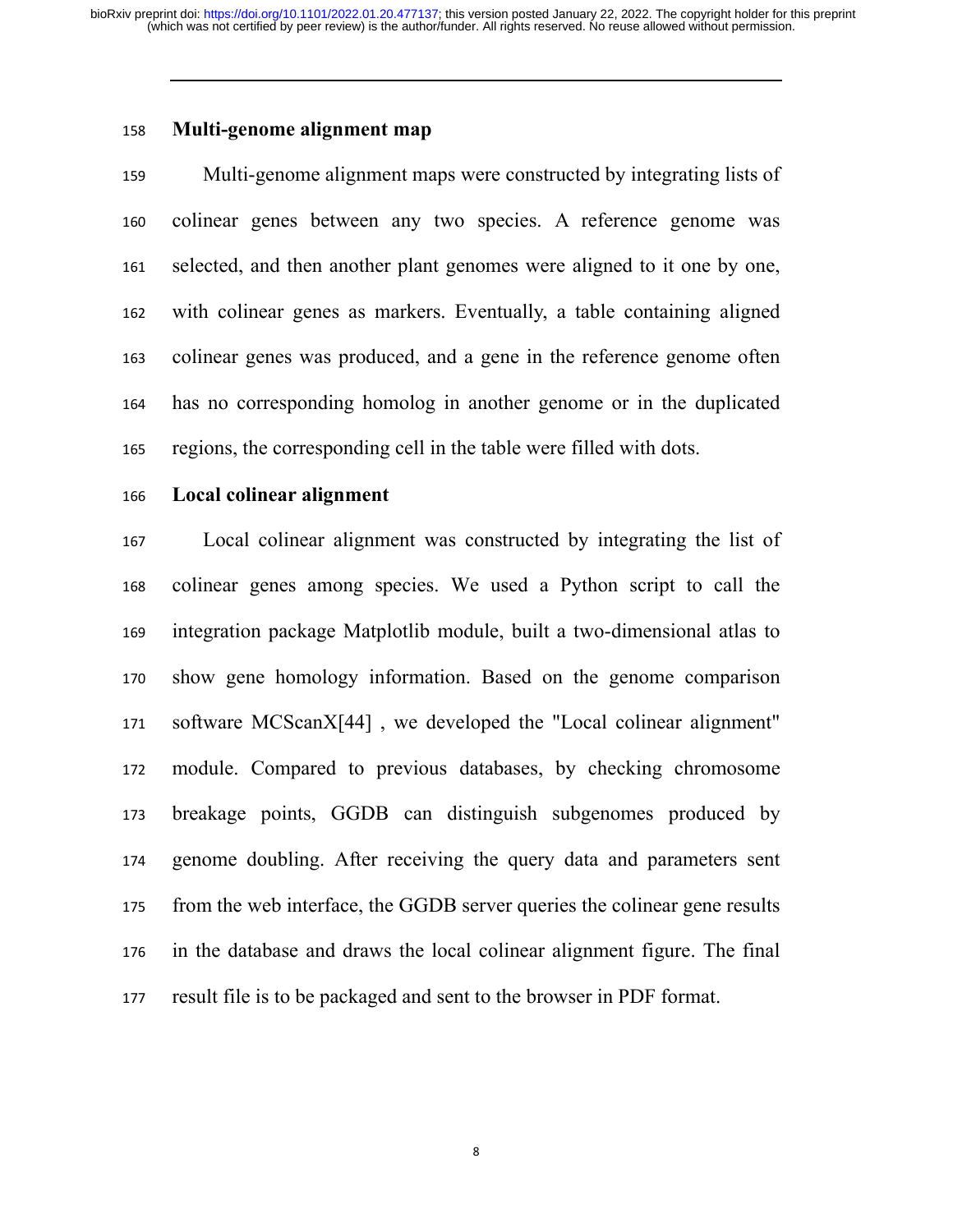# **Multi-genome alignment map**

Multi-genome alignment maps were constructed by integrating lists of colinear genes between any two species. A reference genome was selected, and then another plant genomes were aligned to it one by one, with colinear genes as markers. Eventually, a table containing aligned colinear genes was produced, and a gene in the reference genome often has no corresponding homolog in another genome or in the duplicated regions, the corresponding cell in the table were filled with dots.

#### **Local colinear alignment**

Local colinear alignment was constructed by integrating the list of colinear genes among species. We used a Python script to call the integration package Matplotlib module, built a two-dimensional atlas to show gene homology information. Based on the genome comparison software MCScanX[44] , we developed the "Local colinear alignment" module. Compared to previous databases, by checking chromosome breakage points, GGDB can distinguish subgenomes produced by genome doubling. After receiving the query data and parameters sent from the web interface, the GGDB server queries the colinear gene results in the database and draws the local colinear alignment figure. The final result file is to be packaged and sent to the browser in PDF format.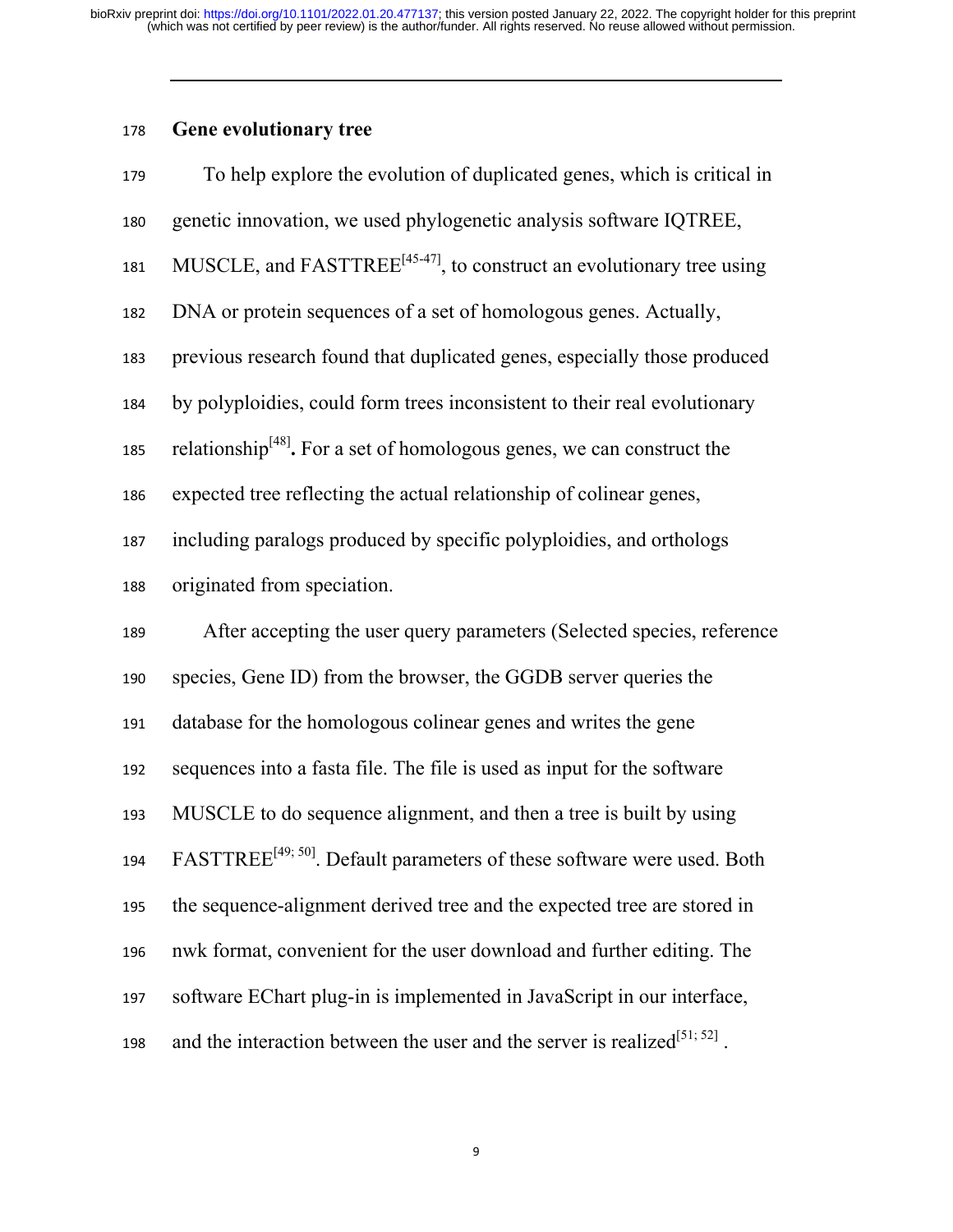# **Gene evolutionary tree**

| 179 | To help explore the evolution of duplicated genes, which is critical in             |
|-----|-------------------------------------------------------------------------------------|
| 180 | genetic innovation, we used phylogenetic analysis software IQTREE,                  |
| 181 | MUSCLE, and $FASTTREE^{[45-47]}$ , to construct an evolutionary tree using          |
| 182 | DNA or protein sequences of a set of homologous genes. Actually,                    |
| 183 | previous research found that duplicated genes, especially those produced            |
| 184 | by polyploidies, could form trees inconsistent to their real evolutionary           |
| 185 | relationship <sup>[48]</sup> . For a set of homologous genes, we can construct the  |
| 186 | expected tree reflecting the actual relationship of colinear genes,                 |
| 187 | including paralogs produced by specific polyploidies, and orthologs                 |
| 188 | originated from speciation.                                                         |
| 189 | After accepting the user query parameters (Selected species, reference              |
| 190 | species, Gene ID) from the browser, the GGDB server queries the                     |
| 191 | database for the homologous colinear genes and writes the gene                      |
| 192 | sequences into a fasta file. The file is used as input for the software             |
| 193 | MUSCLE to do sequence alignment, and then a tree is built by using                  |
| 194 | FASTTREE <sup>[49; 50]</sup> . Default parameters of these software were used. Both |
| 195 | the sequence-alignment derived tree and the expected tree are stored in             |
| 196 | nwk format, convenient for the user download and further editing. The               |
| 197 |                                                                                     |
|     | software EChart plug-in is implemented in JavaScript in our interface,              |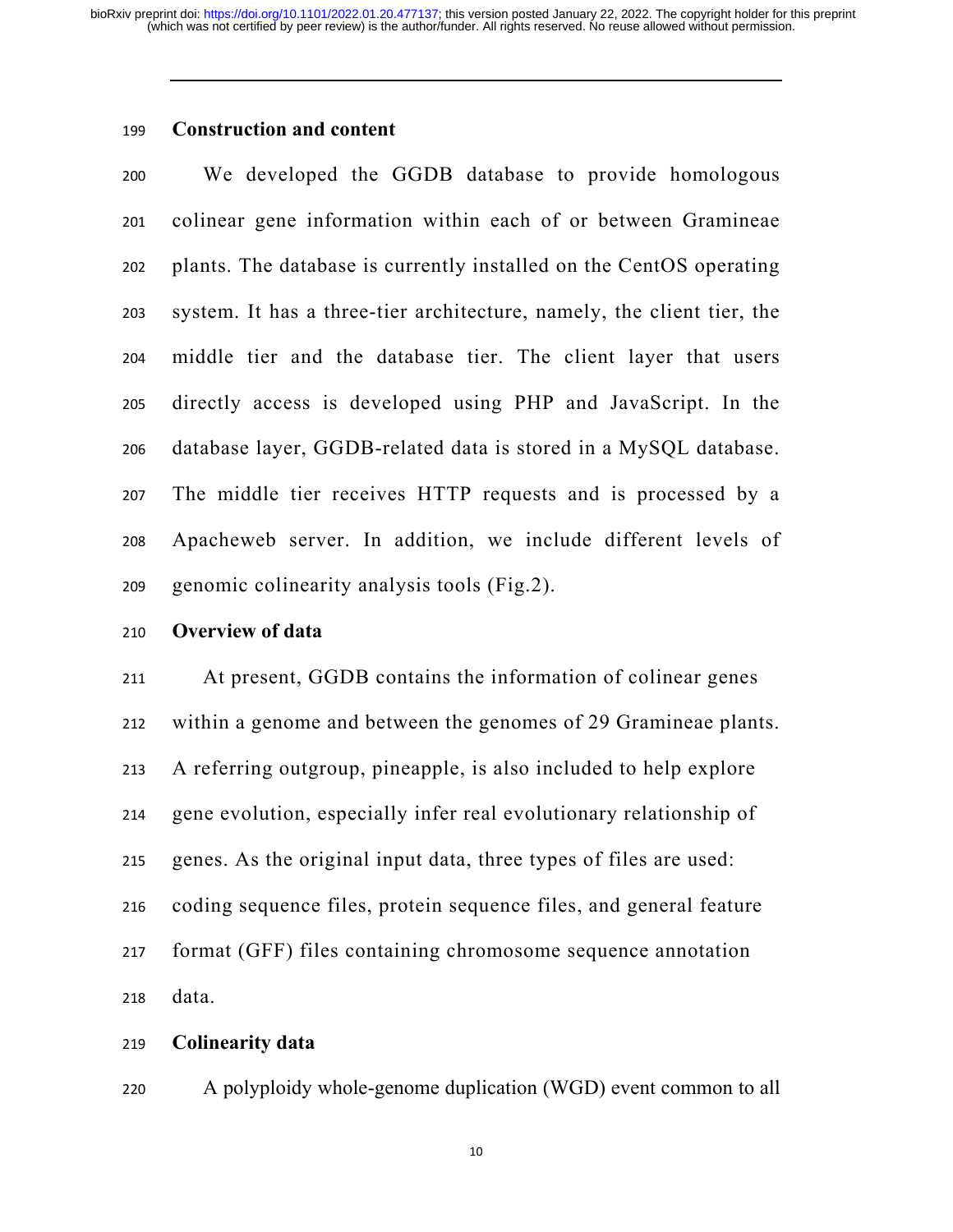# **Construction and content**

We developed the GGDB database to provide homologous colinear gene information within each of or between Gramineae plants. The database is currently installed on the CentOS operating system. It has a three-tier architecture, namely, the client tier, the middle tier and the database tier. The client layer that users directly access is developed using PHP and JavaScript. In the database layer, GGDB-related data is stored in a MySQL database. The middle tier receives HTTP requests and is processed by a Apacheweb server. In addition, we include different levels of genomic colinearity analysis tools (Fig.2).

#### **Overview of data**

At present, GGDB contains the information of colinear genes within a genome and between the genomes of 29 Gramineae plants. A referring outgroup, pineapple, is also included to help explore gene evolution, especially infer real evolutionary relationship of genes. As the original input data, three types of files are used: coding sequence files, protein sequence files, and general feature format (GFF) files containing chromosome sequence annotation data.

### **Colinearity data**

A polyploidy whole-genome duplication (WGD) event common to all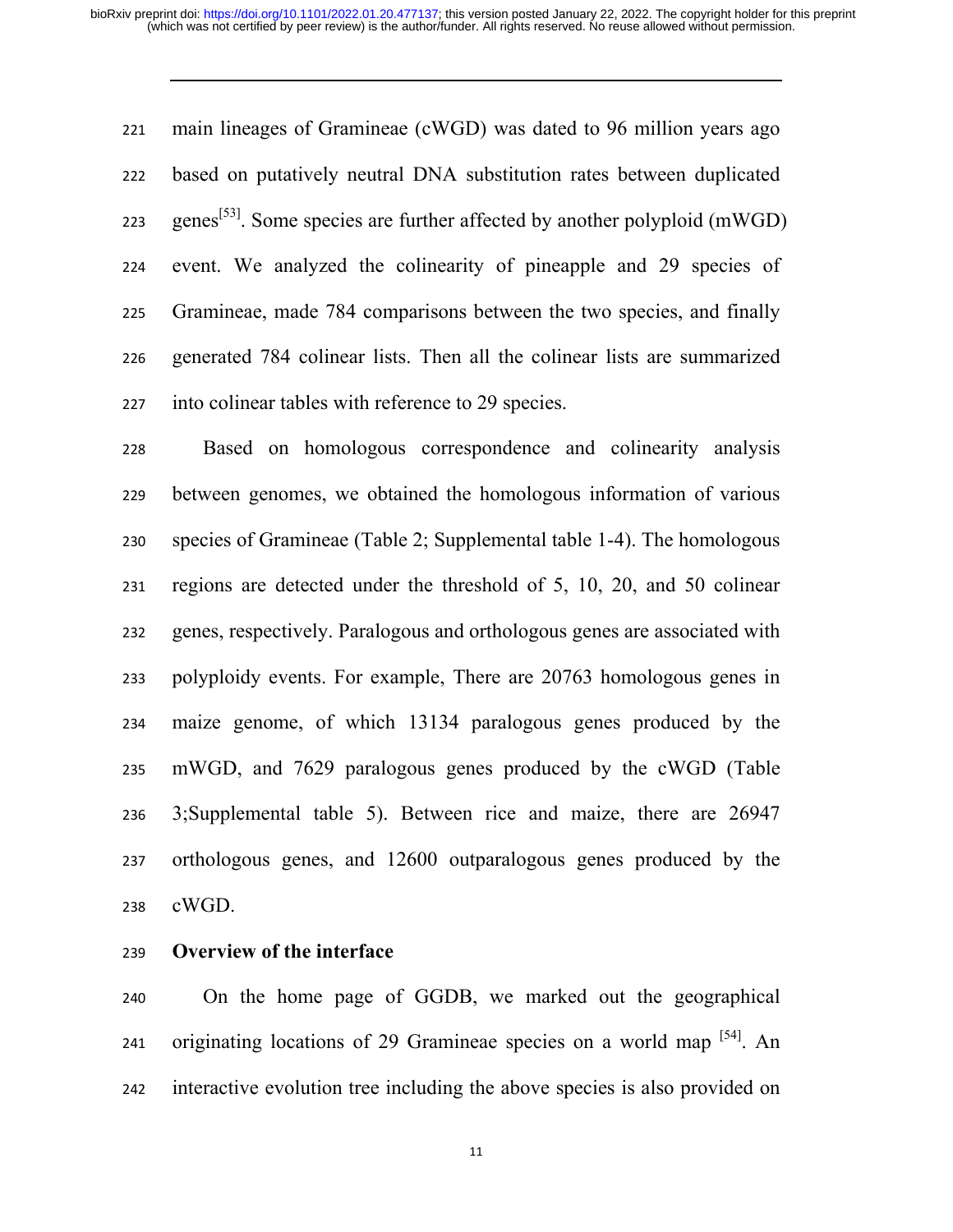main lineages of Gramineae (cWGD) was dated to 96 million years ago based on putatively neutral DNA substitution rates between duplicated 223 genes<sup>[53]</sup>. Some species are further affected by another polyploid (mWGD) event. We analyzed the colinearity of pineapple and 29 species of Gramineae, made 784 comparisons between the two species, and finally generated 784 colinear lists. Then all the colinear lists are summarized into colinear tables with reference to 29 species.

Based on homologous correspondence and colinearity analysis between genomes, we obtained the homologous information of various species of Gramineae (Table 2; Supplemental table 1-4). The homologous regions are detected under the threshold of 5, 10, 20, and 50 colinear genes, respectively. Paralogous and orthologous genes are associated with polyploidy events. For example, There are 20763 homologous genes in maize genome, of which 13134 paralogous genes produced by the mWGD, and 7629 paralogous genes produced by the cWGD (Table 3;Supplemental table 5). Between rice and maize, there are 26947 orthologous genes, and 12600 outparalogous genes produced by the cWGD.

**Overview of the interface** 

On the home page of GGDB, we marked out the geographical 241 originating locations of 29 Gramineae species on a world map  $[34]$ . An interactive evolution tree including the above species is also provided on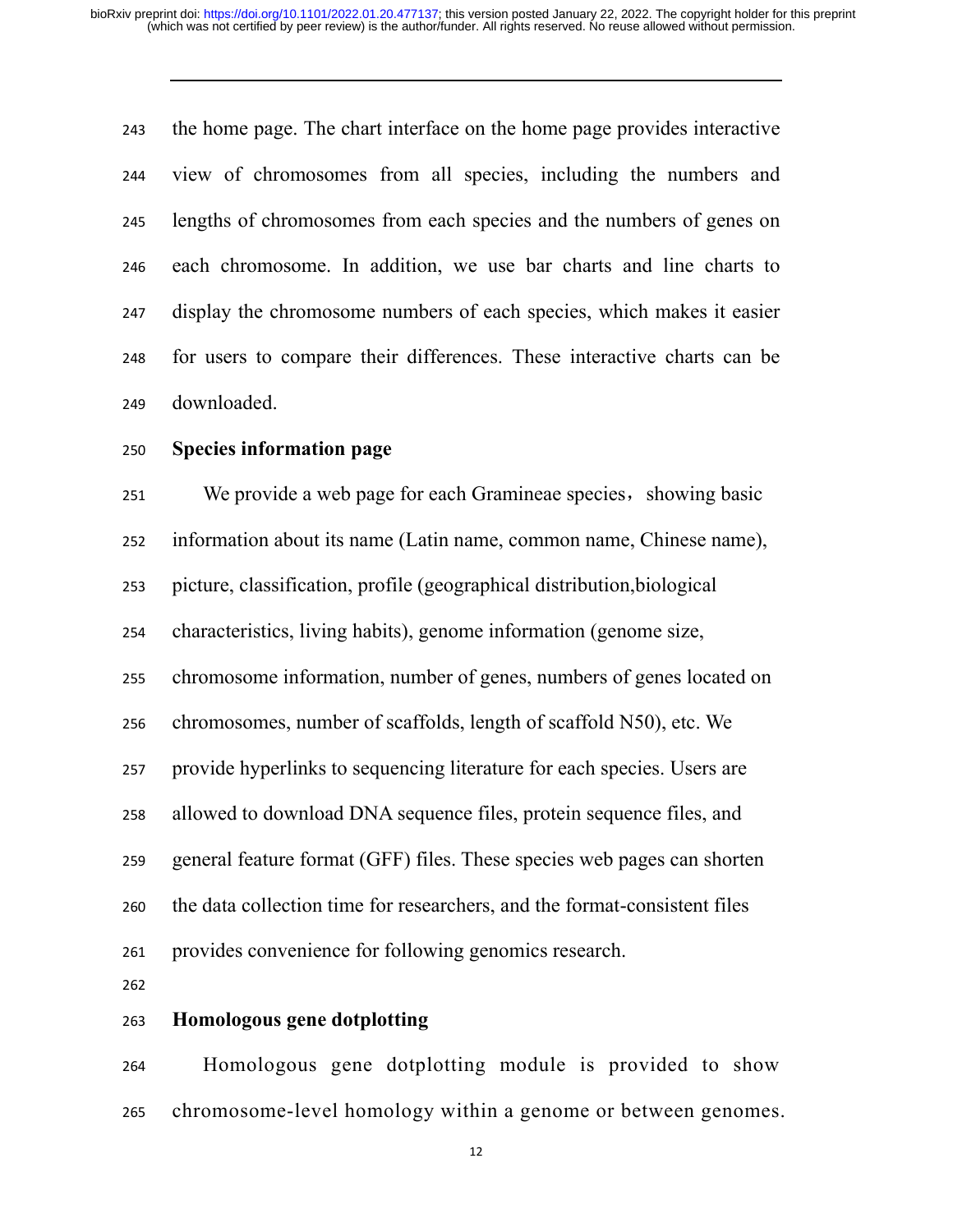the home page. The chart interface on the home page provides interactive view of chromosomes from all species, including the numbers and lengths of chromosomes from each species and the numbers of genes on each chromosome. In addition, we use bar charts and line charts to display the chromosome numbers of each species, which makes it easier for users to compare their differences. These interactive charts can be downloaded.

# **Species information page**

251 We provide a web page for each Gramineae species, showing basic information about its name (Latin name, common name, Chinese name), picture, classification, profile (geographical distribution,biological characteristics, living habits), genome information (genome size, chromosome information, number of genes, numbers of genes located on chromosomes, number of scaffolds, length of scaffold N50), etc. We provide hyperlinks to sequencing literature for each species. Users are allowed to download DNA sequence files, protein sequence files, and general feature format (GFF) files. These species web pages can shorten the data collection time for researchers, and the format-consistent files provides convenience for following genomics research. 

# **Homologous gene dotplotting**

Homologous gene dotplotting module is provided to show chromosome-level homology within a genome or between genomes.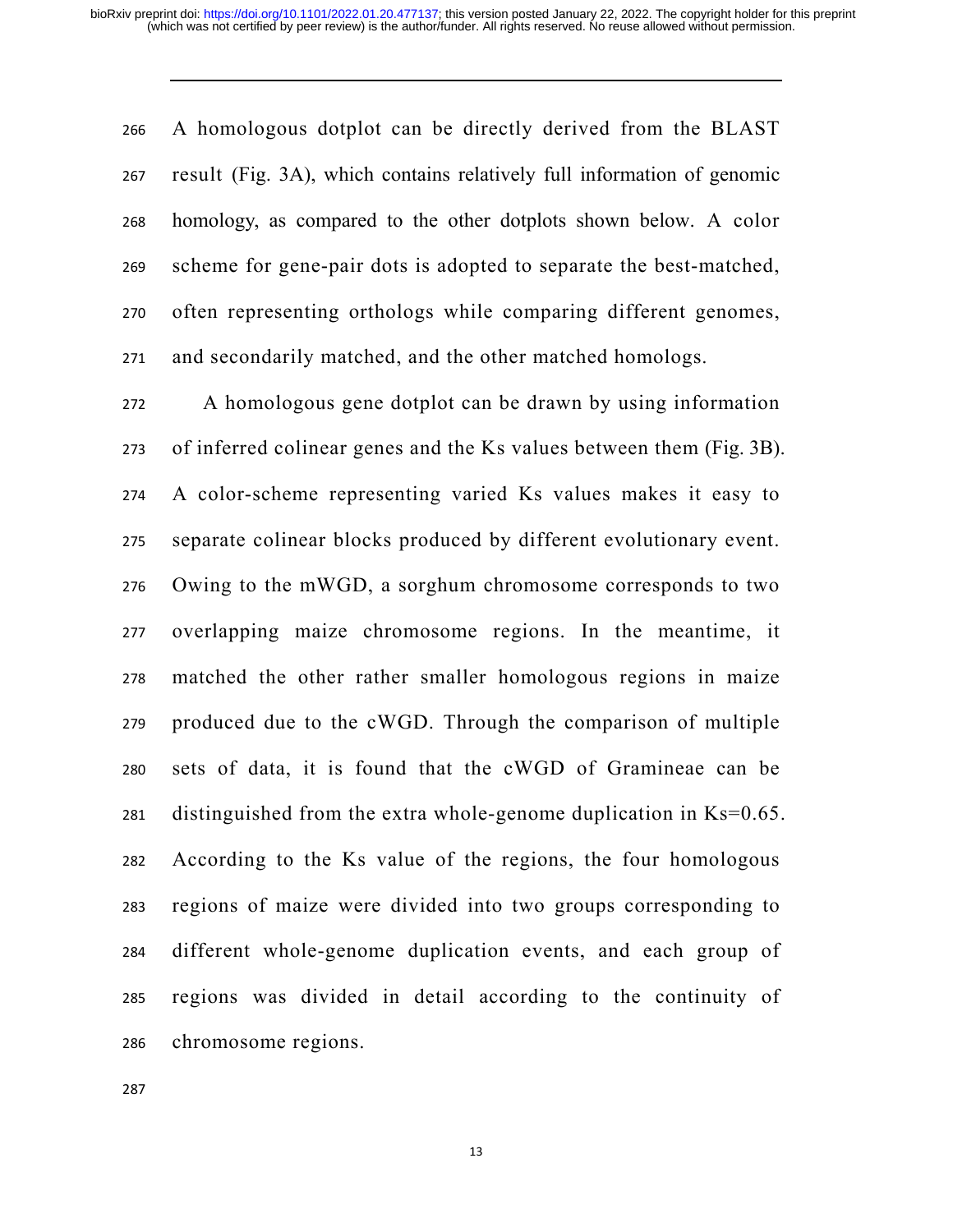A homologous dotplot can be directly derived from the BLAST result (Fig. 3A), which contains relatively full information of genomic homology, as compared to the other dotplots shown below. A color scheme for gene-pair dots is adopted to separate the best-matched, often representing orthologs while comparing different genomes, and secondarily matched, and the other matched homologs.

A homologous gene dotplot can be drawn by using information of inferred colinear genes and the Ks values between them (Fig. 3B). A color-scheme representing varied Ks values makes it easy to separate colinear blocks produced by different evolutionary event. Owing to the mWGD, a sorghum chromosome corresponds to two overlapping maize chromosome regions. In the meantime, it matched the other rather smaller homologous regions in maize produced due to the cWGD. Through the comparison of multiple sets of data, it is found that the cWGD of Gramineae can be 281 distinguished from the extra whole-genome duplication in  $Ks=0.65$ . According to the Ks value of the regions, the four homologous regions of maize were divided into two groups corresponding to different whole-genome duplication events, and each group of regions was divided in detail according to the continuity of chromosome regions.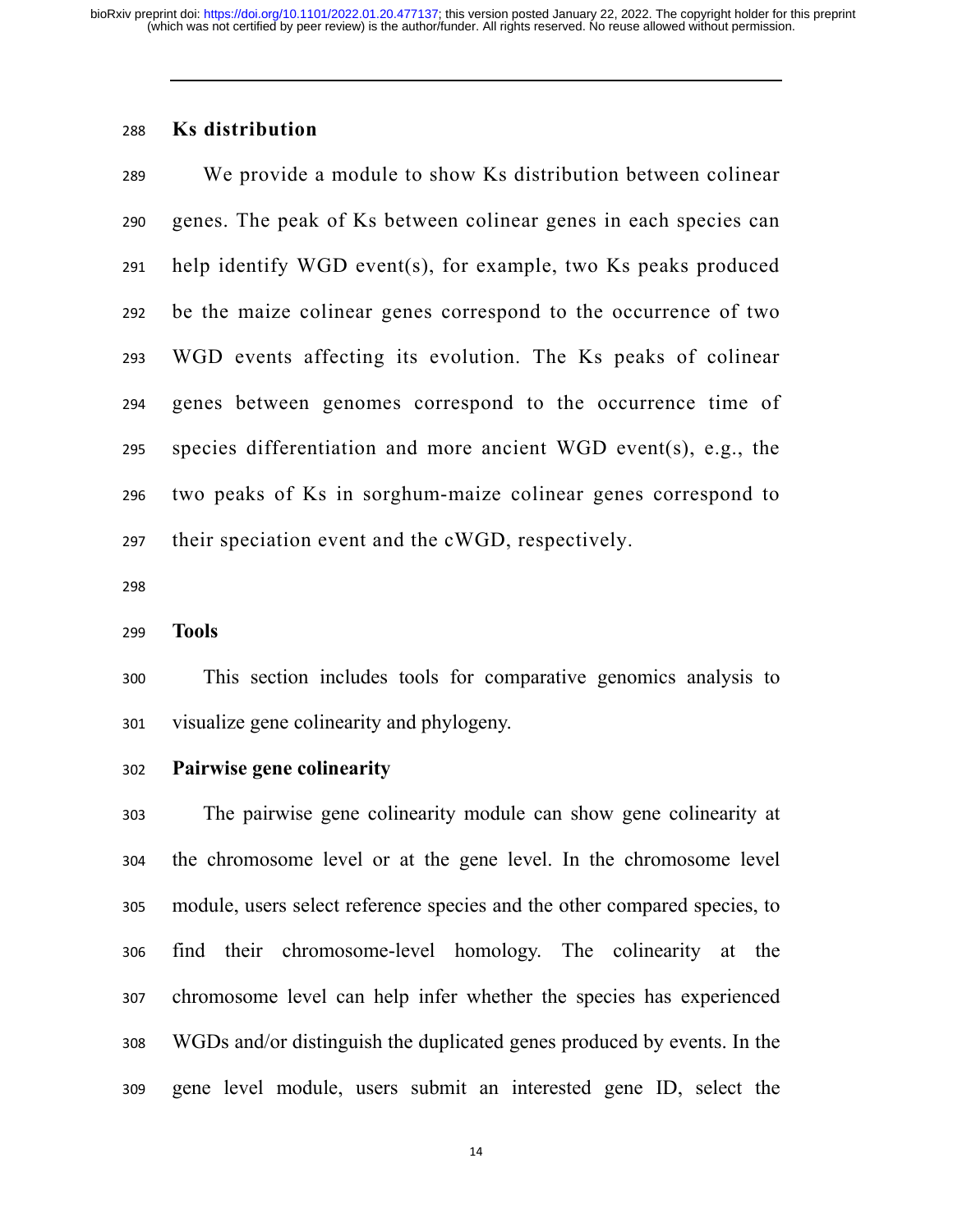# **Ks distribution**

We provide a module to show Ks distribution between colinear genes. The peak of Ks between colinear genes in each species can help identify WGD event(s), for example, two Ks peaks produced be the maize colinear genes correspond to the occurrence of two WGD events affecting its evolution. The Ks peaks of colinear genes between genomes correspond to the occurrence time of species differentiation and more ancient WGD event(s), e.g., the two peaks of Ks in sorghum-maize colinear genes correspond to their speciation event and the cWGD, respectively.

#### **Tools**

This section includes tools for comparative genomics analysis to visualize gene colinearity and phylogeny.

**Pairwise gene colinearity** 

The pairwise gene colinearity module can show gene colinearity at the chromosome level or at the gene level. In the chromosome level module, users select reference species and the other compared species, to find their chromosome-level homology. The colinearity at the chromosome level can help infer whether the species has experienced WGDs and/or distinguish the duplicated genes produced by events. In the gene level module, users submit an interested gene ID, select the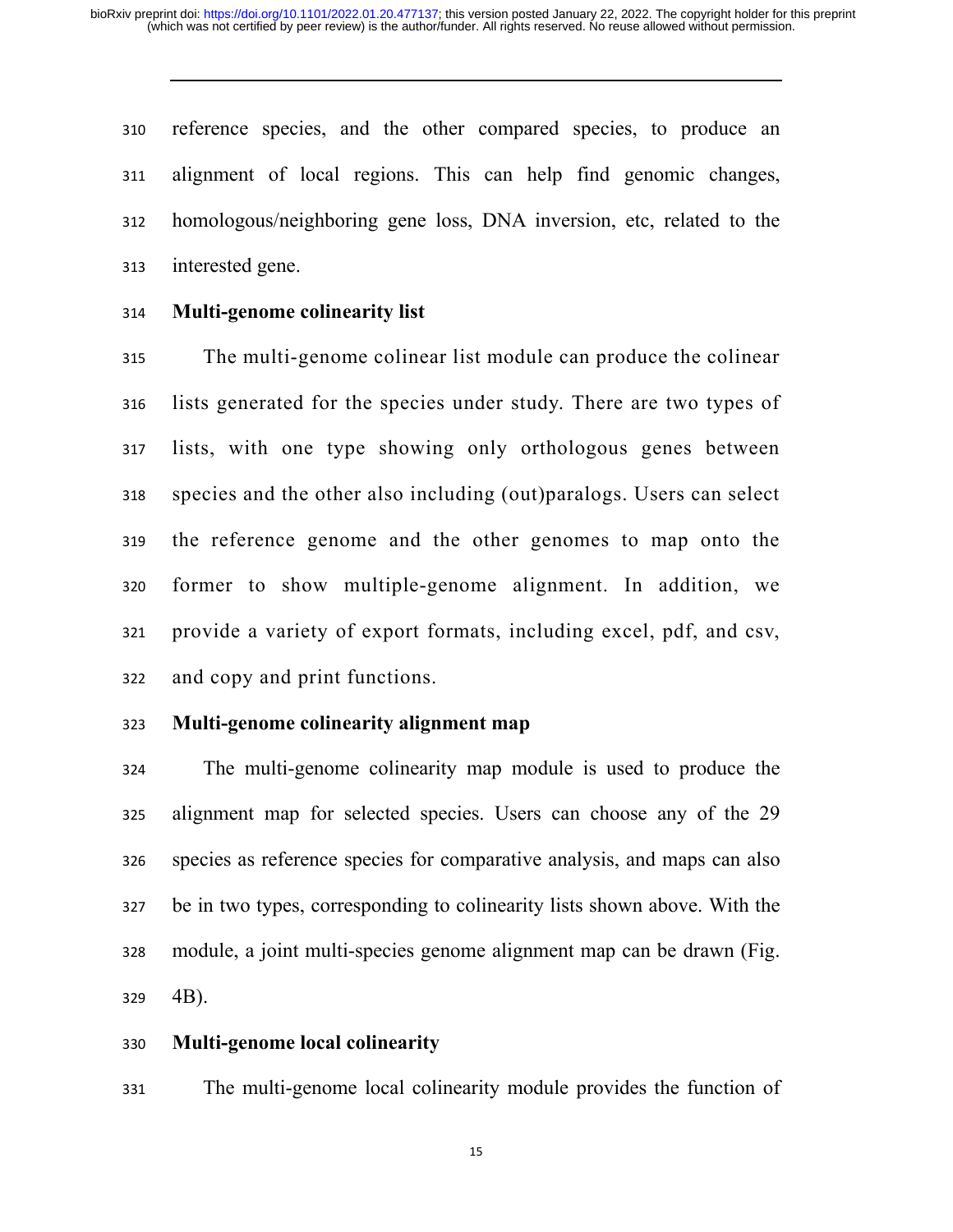reference species, and the other compared species, to produce an alignment of local regions. This can help find genomic changes, homologous/neighboring gene loss, DNA inversion, etc, related to the interested gene.

### **Multi-genome colinearity list**

The multi-genome colinear list module can produce the colinear lists generated for the species under study. There are two types of lists, with one type showing only orthologous genes between species and the other also including (out)paralogs. Users can select the reference genome and the other genomes to map onto the former to show multiple-genome alignment. In addition, we provide a variety of export formats, including excel, pdf, and csv, and copy and print functions.

# **Multi-genome colinearity alignment map**

The multi-genome colinearity map module is used to produce the alignment map for selected species. Users can choose any of the 29 species as reference species for comparative analysis, and maps can also be in two types, corresponding to colinearity lists shown above. With the module, a joint multi-species genome alignment map can be drawn (Fig. 4B).

### **Multi-genome local colinearity**

The multi-genome local colinearity module provides the function of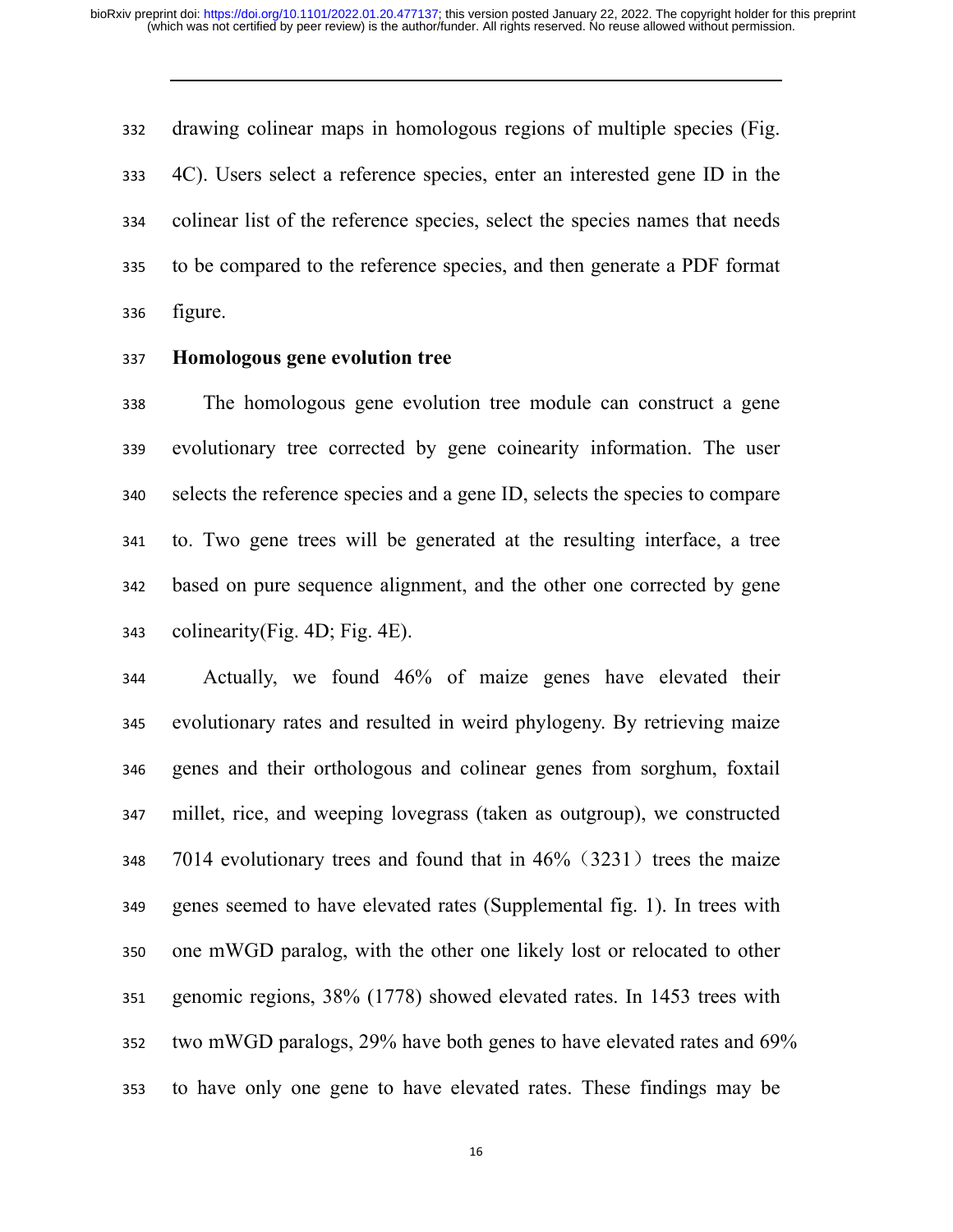drawing colinear maps in homologous regions of multiple species (Fig. 4C). Users select a reference species, enter an interested gene ID in the colinear list of the reference species, select the species names that needs to be compared to the reference species, and then generate a PDF format figure.

#### **Homologous gene evolution tree**

The homologous gene evolution tree module can construct a gene evolutionary tree corrected by gene coinearity information. The user selects the reference species and a gene ID, selects the species to compare to. Two gene trees will be generated at the resulting interface, a tree based on pure sequence alignment, and the other one corrected by gene colinearity(Fig. 4D; Fig. 4E).

Actually, we found 46% of maize genes have elevated their evolutionary rates and resulted in weird phylogeny. By retrieving maize genes and their orthologous and colinear genes from sorghum, foxtail millet, rice, and weeping lovegrass (taken as outgroup), we constructed 7014 evolutionary trees and found that in 46% (3231) trees the maize genes seemed to have elevated rates (Supplemental fig. 1). In trees with one mWGD paralog, with the other one likely lost or relocated to other genomic regions, 38% (1778) showed elevated rates. In 1453 trees with two mWGD paralogs, 29% have both genes to have elevated rates and 69% to have only one gene to have elevated rates. These findings may be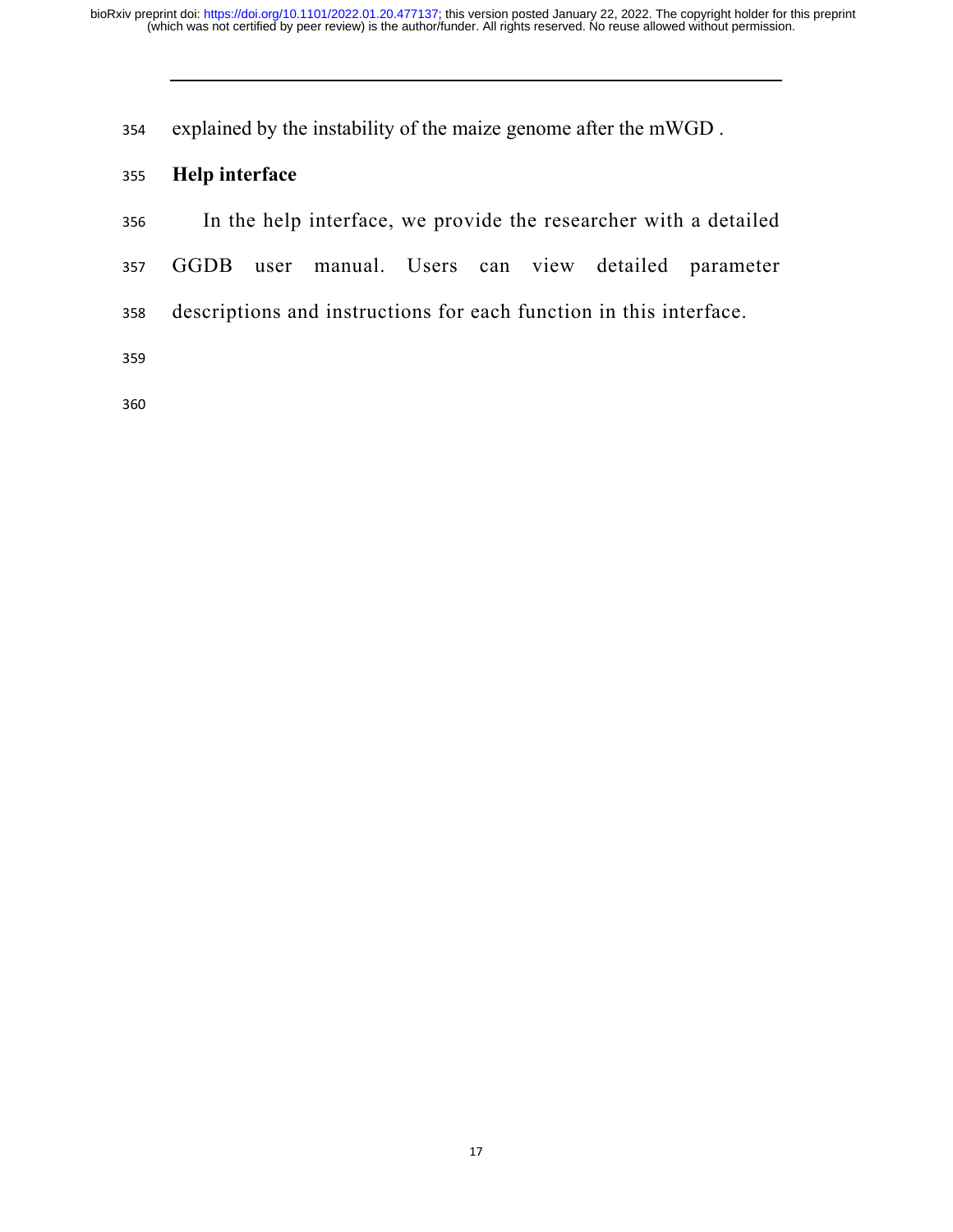explained by the instability of the maize genome after the mWGD .

# **Help interface**

In the help interface, we provide the researcher with a detailed

- GGDB user manual. Users can view detailed parameter
- descriptions and instructions for each function in this interface.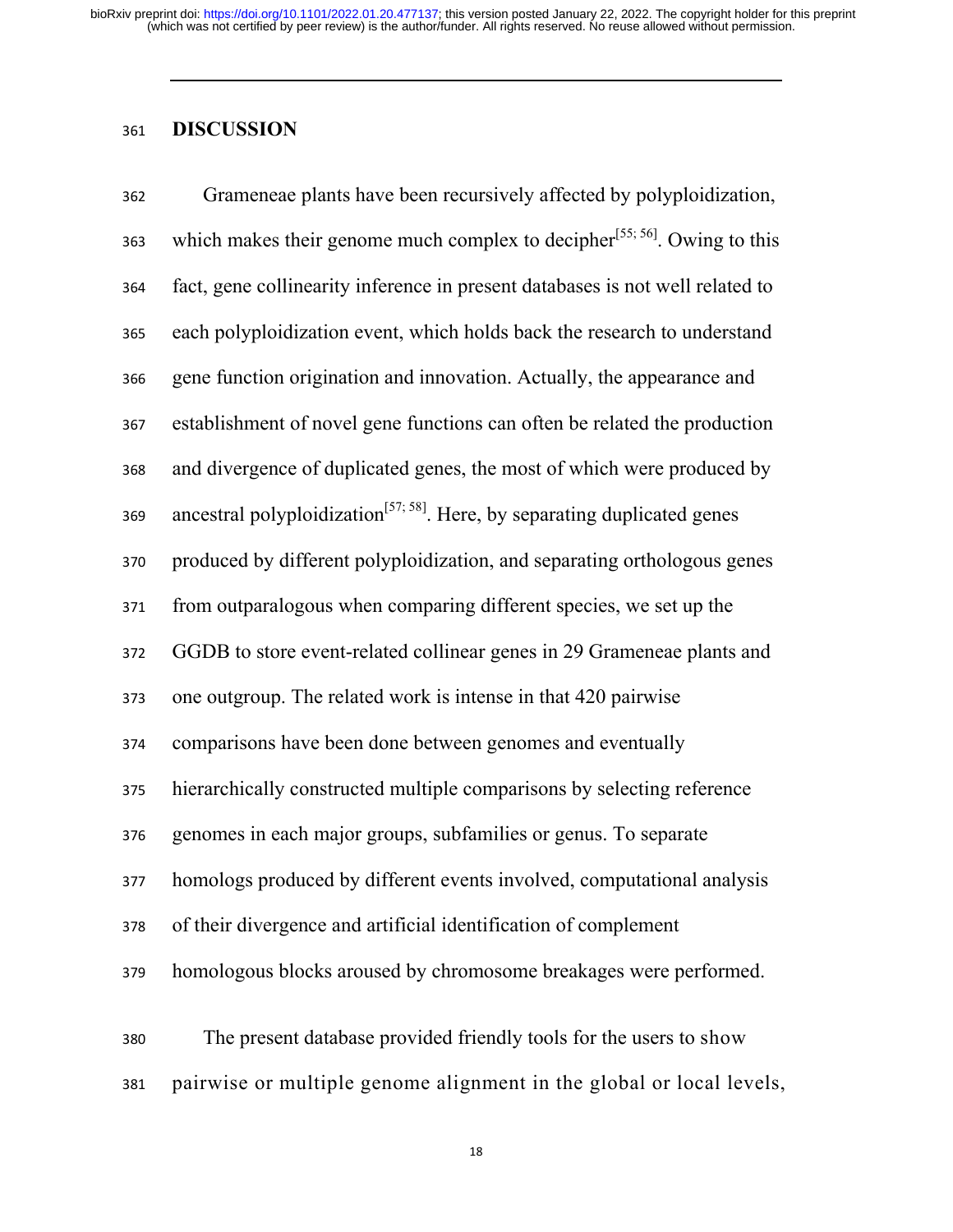# **DISCUSSION**

| 362 | Grameneae plants have been recursively affected by polyploidization,                  |
|-----|---------------------------------------------------------------------------------------|
| 363 | which makes their genome much complex to decipher <sup>[55; 56]</sup> . Owing to this |
| 364 | fact, gene collinearity inference in present databases is not well related to         |
| 365 | each polyploidization event, which holds back the research to understand              |
| 366 | gene function origination and innovation. Actually, the appearance and                |
| 367 | establishment of novel gene functions can often be related the production             |
| 368 | and divergence of duplicated genes, the most of which were produced by                |
| 369 | ancestral polyploidization <sup>[57; 58]</sup> . Here, by separating duplicated genes |
| 370 | produced by different polyploidization, and separating orthologous genes              |
| 371 | from outparalogous when comparing different species, we set up the                    |
| 372 | GGDB to store event-related collinear genes in 29 Grameneae plants and                |
| 373 | one outgroup. The related work is intense in that 420 pairwise                        |
| 374 | comparisons have been done between genomes and eventually                             |
| 375 | hierarchically constructed multiple comparisons by selecting reference                |
| 376 | genomes in each major groups, subfamilies or genus. To separate                       |
| 377 | homologs produced by different events involved, computational analysis                |
| 378 | of their divergence and artificial identification of complement                       |
| 379 | homologous blocks aroused by chromosome breakages were performed.                     |
| 380 | The present database provided friendly tools for the users to show                    |
|     |                                                                                       |
| 381 | pairwise or multiple genome alignment in the global or local levels,                  |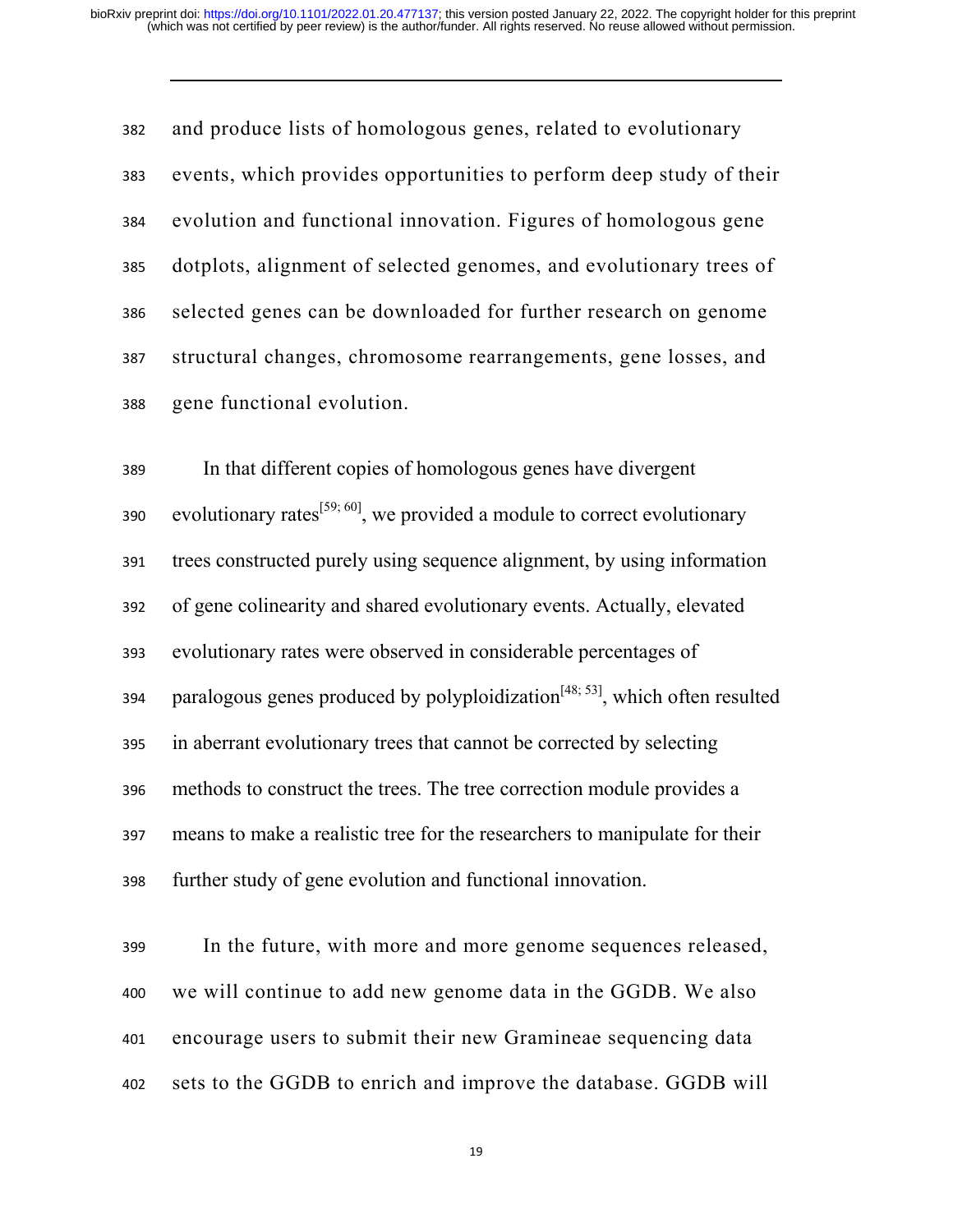and produce lists of homologous genes, related to evolutionary events, which provides opportunities to perform deep study of their evolution and functional innovation. Figures of homologous gene dotplots, alignment of selected genomes, and evolutionary trees of selected genes can be downloaded for further research on genome structural changes, chromosome rearrangements, gene losses, and gene functional evolution.

In that different copies of homologous genes have divergent sso evolutionary rates<sup>[59; 60]</sup>, we provided a module to correct evolutionary trees constructed purely using sequence alignment, by using information of gene colinearity and shared evolutionary events. Actually, elevated evolutionary rates were observed in considerable percentages of 394 paralogous genes produced by polyploidization<sup>[48; 53]</sup>, which often resulted in aberrant evolutionary trees that cannot be corrected by selecting methods to construct the trees. The tree correction module provides a means to make a realistic tree for the researchers to manipulate for their further study of gene evolution and functional innovation.

In the future, with more and more genome sequences released, we will continue to add new genome data in the GGDB. We also encourage users to submit their new Gramineae sequencing data sets to the GGDB to enrich and improve the database. GGDB will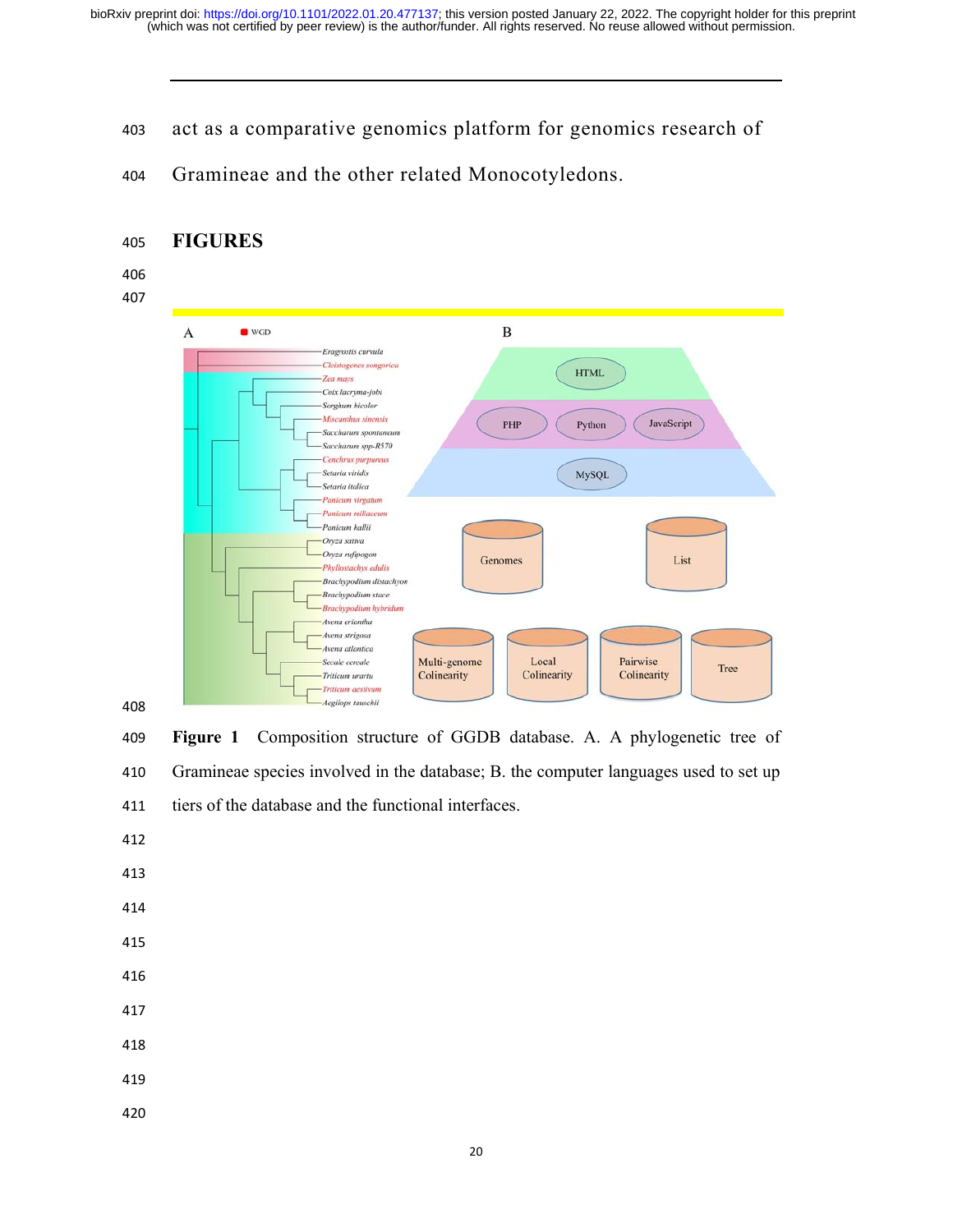- act as a comparative genomics platform for genomics research of
- Gramineae and the other related Monocotyledons.

# **FIGURES**

# 





**Figure 1** Composition structure of GGDB database. A. A phylogenetic tree of Gramineae species involved in the database; B. the computer languages used to set up tiers of the database and the functional interfaces.

- 
- 
- 
- 
- 
- 
- 
-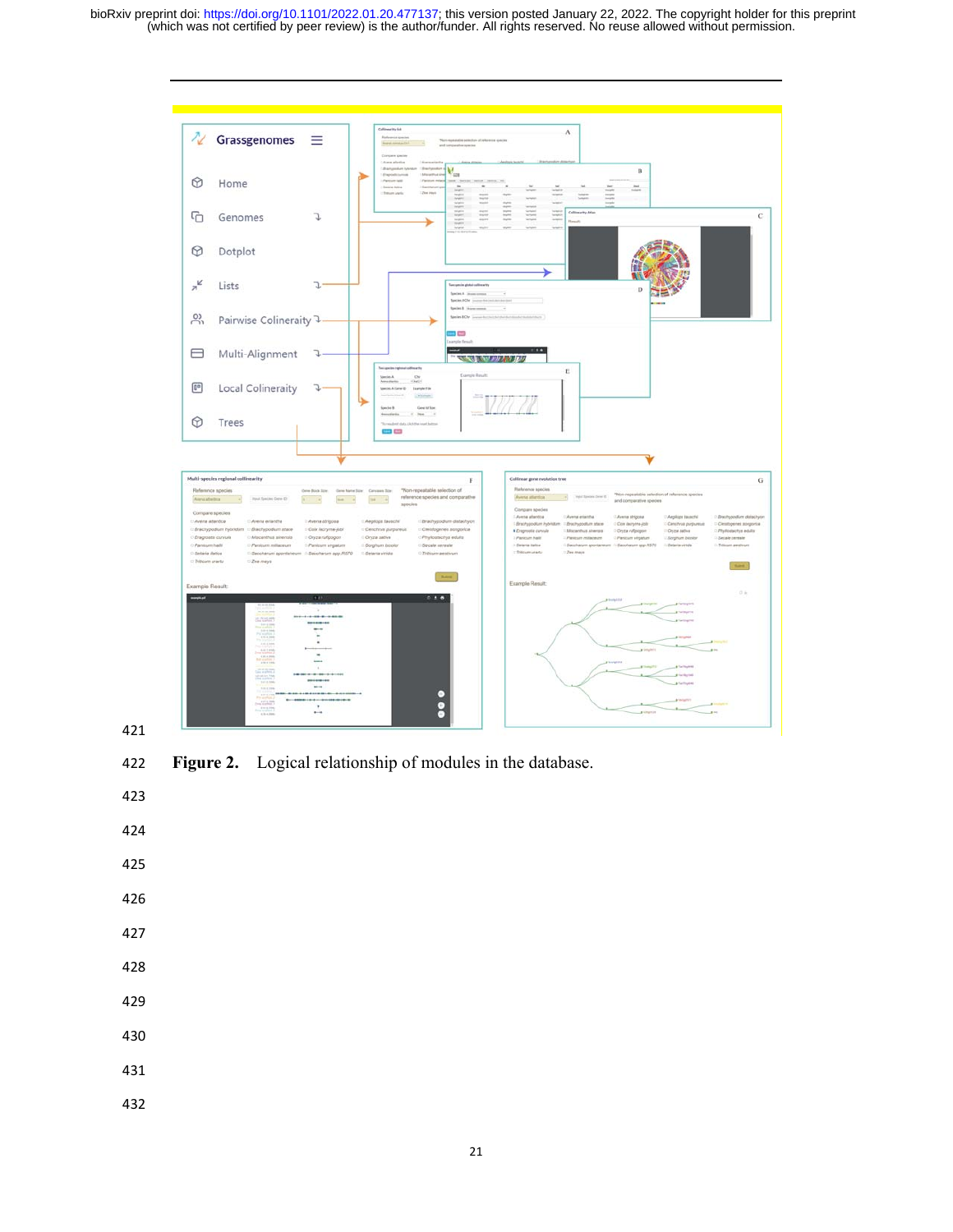

**Figure 2.** Logical relationship of modules in the database.

- 
- 
- 
- 
- 
- 
- 
- 
-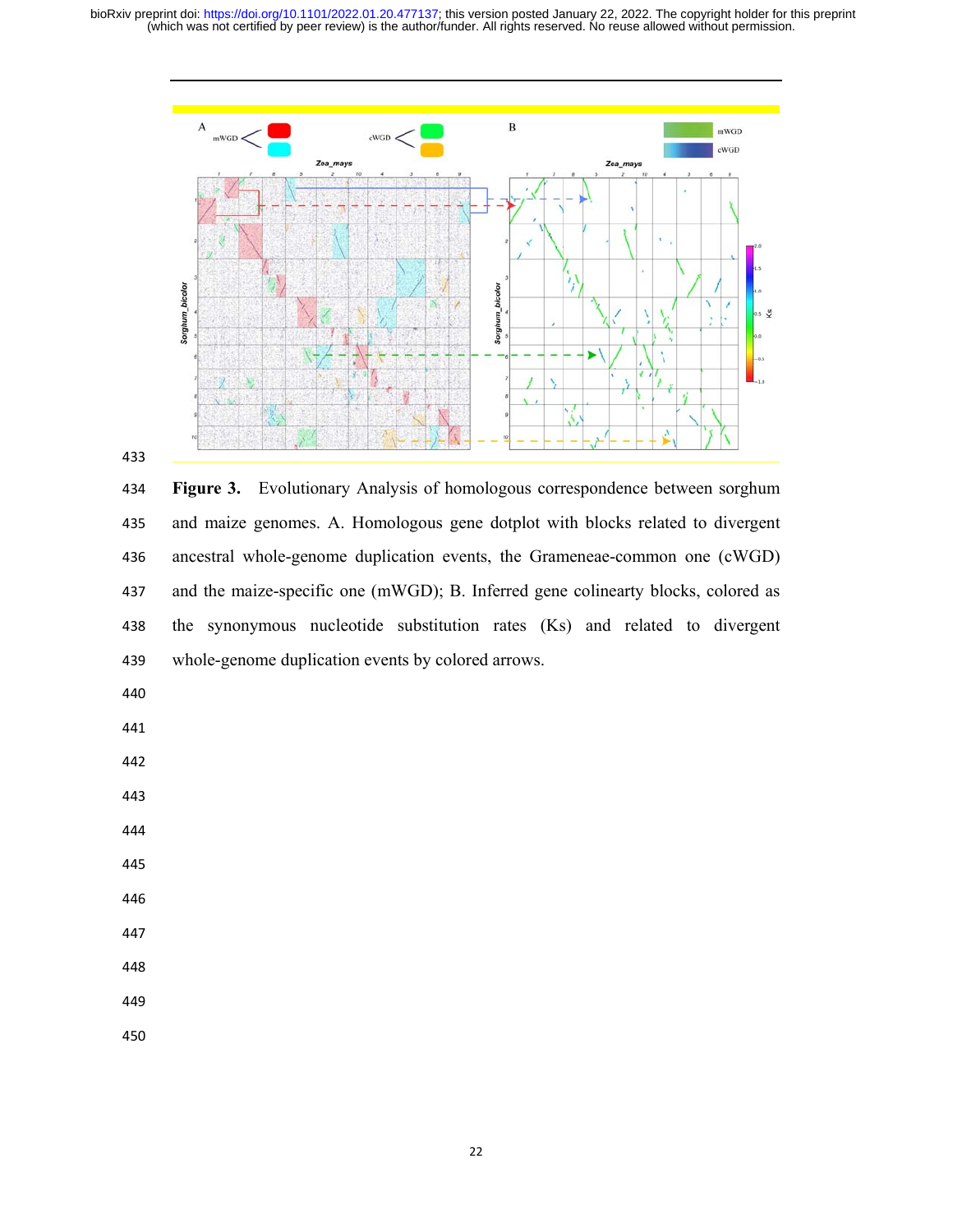



**Figure 3.** Evolutionary Analysis of homologous correspondence between sorghum and maize genomes. A. Homologous gene dotplot with blocks related to divergent ancestral whole-genome duplication events, the Grameneae-common one (cWGD) and the maize-specific one (mWGD); B. Inferred gene colinearty blocks, colored as the synonymous nucleotide substitution rates (Ks) and related to divergent whole-genome duplication events by colored arrows.

- 
- 
- 
- 
- 
- 
- 
- 
- 
-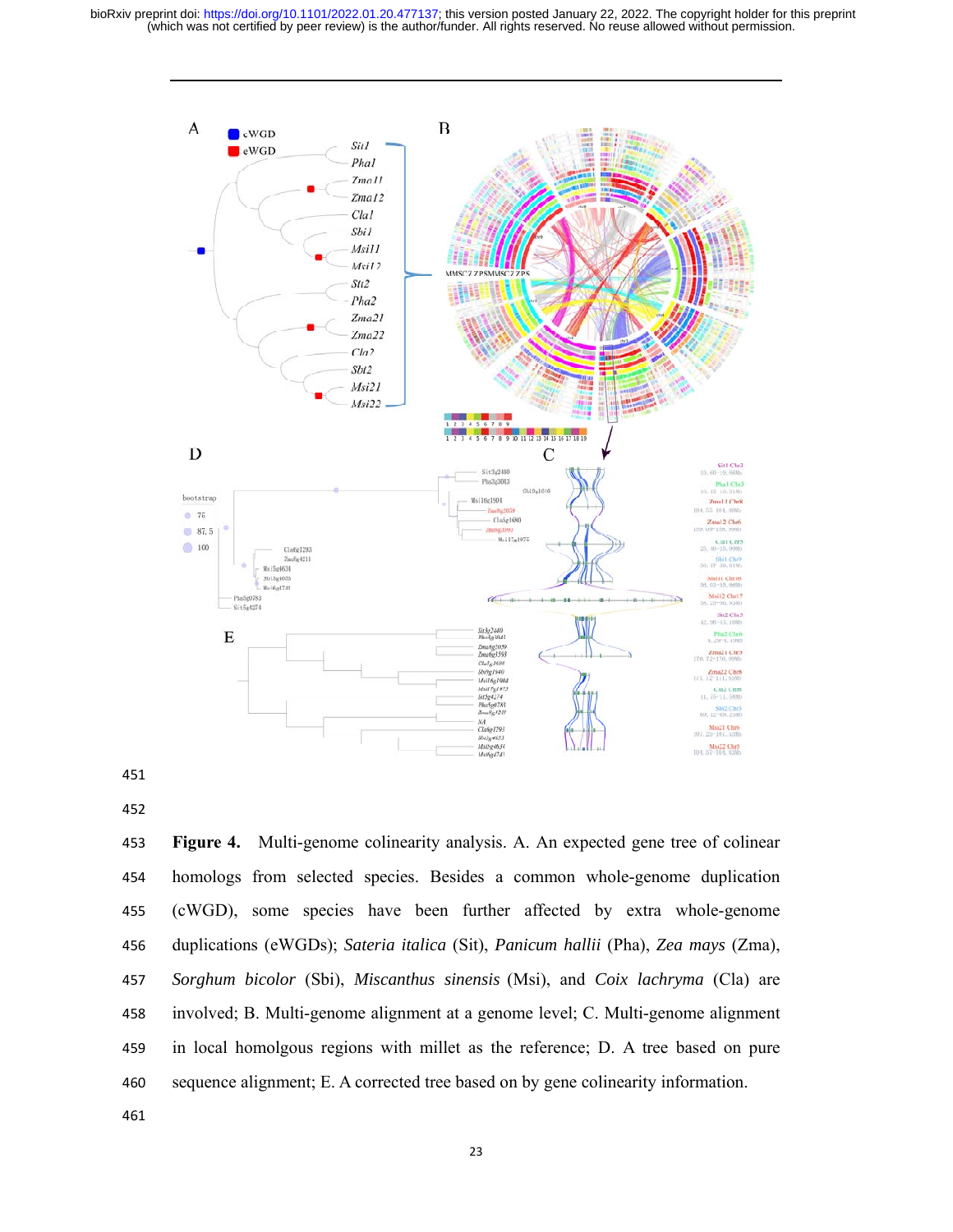

**Figure 4.** Multi-genome colinearity analysis. A. An expected gene tree of colinear homologs from selected species. Besides a common whole-genome duplication (cWGD), some species have been further affected by extra whole-genome duplications (eWGDs); *Sateria italica* (Sit), *Panicum hallii* (Pha), *Zea mays* (Zma), *Sorghum bicolor* (Sbi), *Miscanthus sinensis* (Msi), and *Coix lachryma* (Cla) are involved; B. Multi-genome alignment at a genome level; C. Multi-genome alignment in local homolgous regions with millet as the reference; D. A tree based on pure sequence alignment; E. A corrected tree based on by gene colinearity information.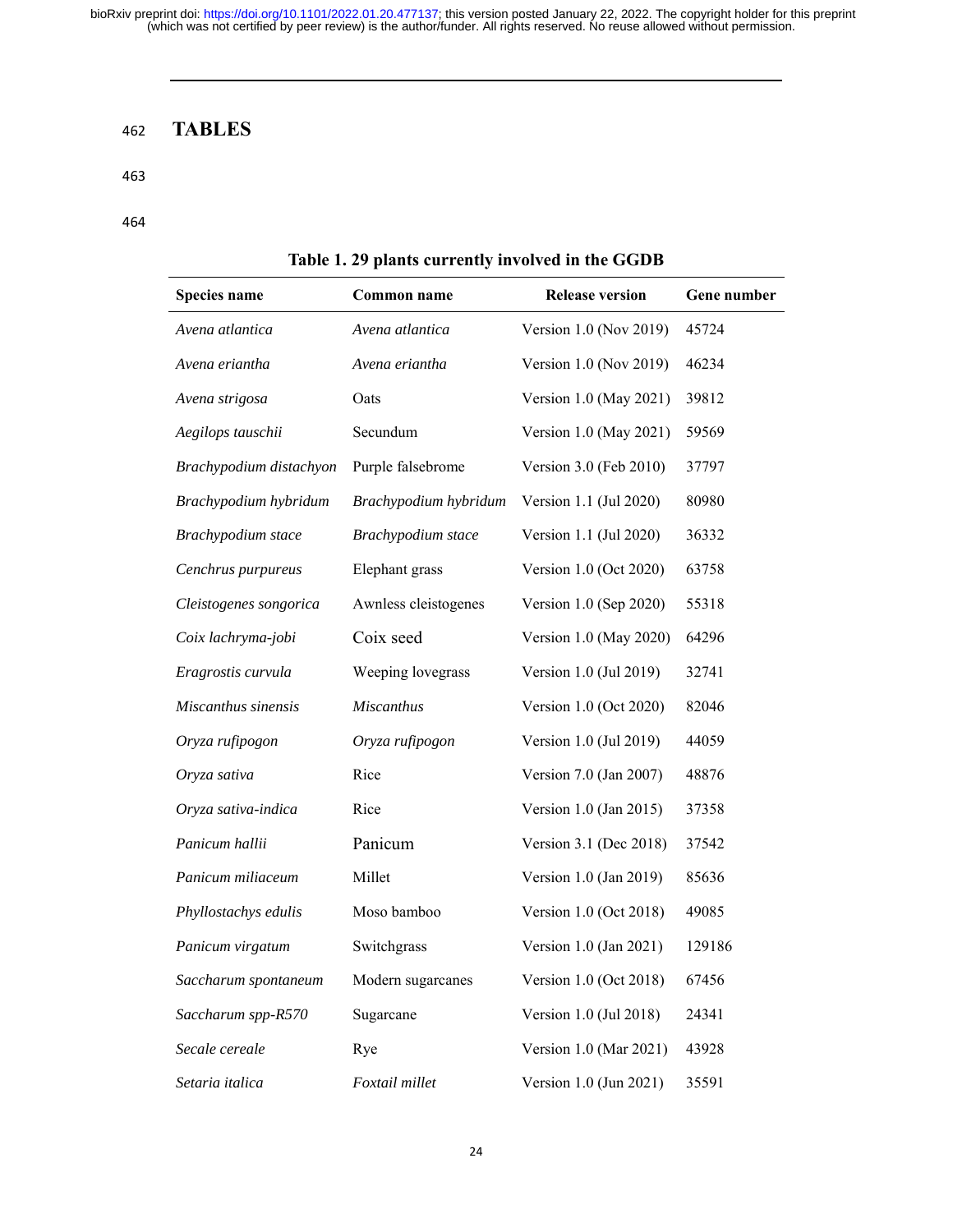# 462 **TABLES**

#### 463

#### 464

| Species name            | Common name           | <b>Release version</b> | Gene number |  |  |  |  |  |  |
|-------------------------|-----------------------|------------------------|-------------|--|--|--|--|--|--|
| Avena atlantica         | Avena atlantica       | Version 1.0 (Nov 2019) | 45724       |  |  |  |  |  |  |
| Avena eriantha          | Avena eriantha        | Version 1.0 (Nov 2019) | 46234       |  |  |  |  |  |  |
| Avena strigosa          | Oats                  | Version 1.0 (May 2021) | 39812       |  |  |  |  |  |  |
| Aegilops tauschii       | Secundum              | Version 1.0 (May 2021) | 59569       |  |  |  |  |  |  |
| Brachypodium distachyon | Purple falsebrome     | Version 3.0 (Feb 2010) | 37797       |  |  |  |  |  |  |
| Brachypodium hybridum   | Brachypodium hybridum | Version 1.1 (Jul 2020) | 80980       |  |  |  |  |  |  |
| Brachypodium stace      | Brachypodium stace    | Version 1.1 (Jul 2020) | 36332       |  |  |  |  |  |  |
| Cenchrus purpureus      | Elephant grass        | Version 1.0 (Oct 2020) | 63758       |  |  |  |  |  |  |
| Cleistogenes songorica  | Awnless cleistogenes  | Version 1.0 (Sep 2020) | 55318       |  |  |  |  |  |  |
| Coix lachryma-jobi      | Coix seed             | Version 1.0 (May 2020) | 64296       |  |  |  |  |  |  |
| Eragrostis curvula      | Weeping lovegrass     | Version 1.0 (Jul 2019) | 32741       |  |  |  |  |  |  |
| Miscanthus sinensis     | <b>Miscanthus</b>     | Version 1.0 (Oct 2020) | 82046       |  |  |  |  |  |  |
| Oryza rufipogon         | Oryza rufipogon       | Version 1.0 (Jul 2019) | 44059       |  |  |  |  |  |  |
| Oryza sativa            | Rice                  | Version 7.0 (Jan 2007) | 48876       |  |  |  |  |  |  |
| Oryza sativa-indica     | Rice                  | Version 1.0 (Jan 2015) | 37358       |  |  |  |  |  |  |
| Panicum hallii          | Panicum               | Version 3.1 (Dec 2018) | 37542       |  |  |  |  |  |  |
| Panicum miliaceum       | Millet                | Version 1.0 (Jan 2019) | 85636       |  |  |  |  |  |  |
| Phyllostachys edulis    | Moso bamboo           | Version 1.0 (Oct 2018) | 49085       |  |  |  |  |  |  |
| Panicum virgatum        | Switchgrass           | Version 1.0 (Jan 2021) | 129186      |  |  |  |  |  |  |
| Saccharum spontaneum    | Modern sugarcanes     | Version 1.0 (Oct 2018) | 67456       |  |  |  |  |  |  |
| Saccharum spp-R570      | Sugarcane             | Version 1.0 (Jul 2018) | 24341       |  |  |  |  |  |  |
| Secale cereale          | Rye                   | Version 1.0 (Mar 2021) | 43928       |  |  |  |  |  |  |
| Setaria italica         | Foxtail millet        | Version 1.0 (Jun 2021) | 35591       |  |  |  |  |  |  |

# **Table 1. 29 plants currently involved in the GGDB**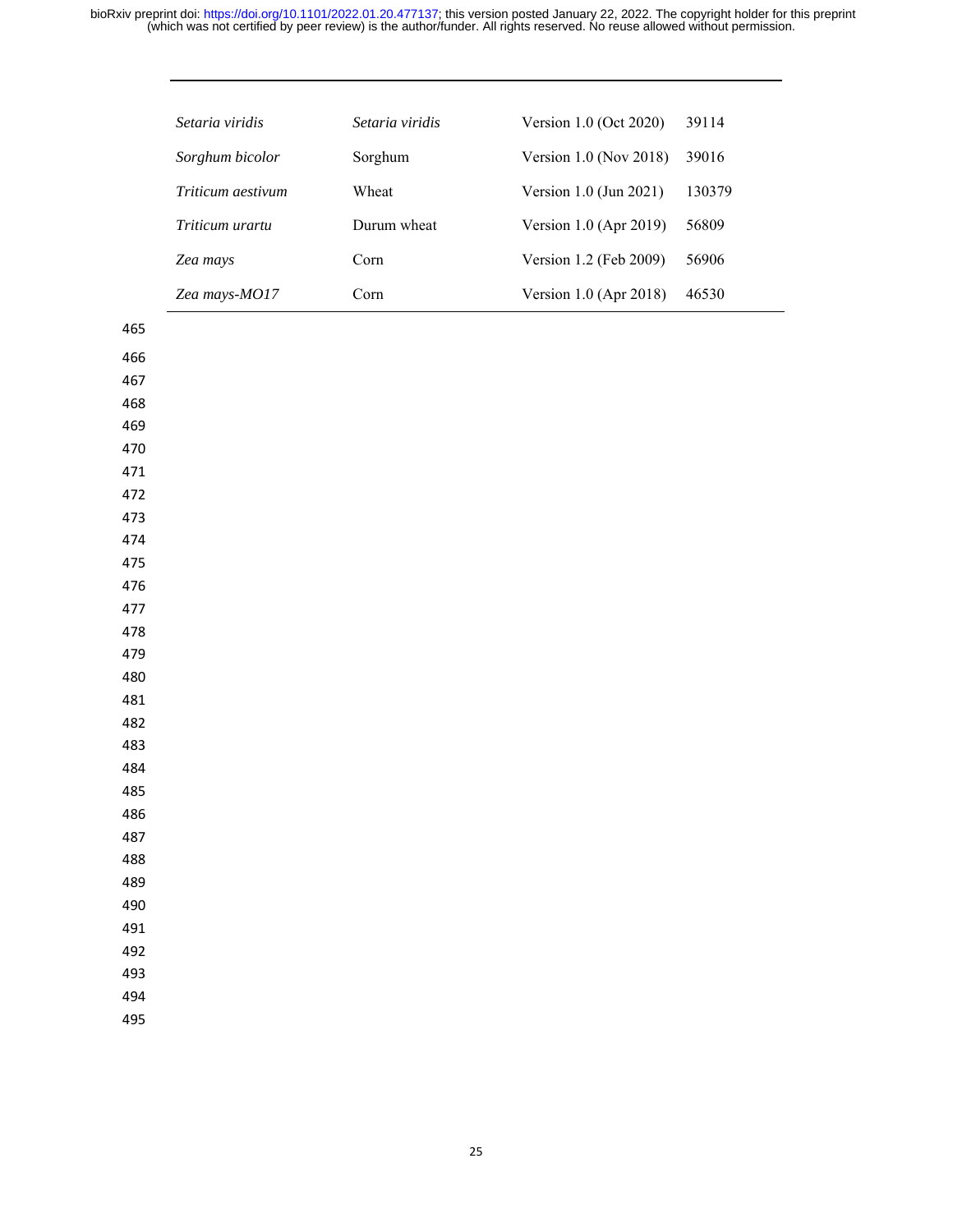|            | Setaria viridis   | Setaria viridis | Version 1.0 (Oct 2020)      | 39114  |
|------------|-------------------|-----------------|-----------------------------|--------|
|            | Sorghum bicolor   | Sorghum         | Version $1.0$ (Nov $2018$ ) | 39016  |
|            | Triticum aestivum | Wheat           | Version 1.0 (Jun 2021)      | 130379 |
|            | Triticum urartu   | Durum wheat     | Version 1.0 (Apr 2019)      | 56809  |
|            | Zea mays          | Corn            | Version 1.2 (Feb 2009)      | 56906  |
|            | Zea mays-MO17     | Corn            | Version 1.0 (Apr 2018)      | 46530  |
| 465        |                   |                 |                             |        |
| 466        |                   |                 |                             |        |
| 467        |                   |                 |                             |        |
| 468        |                   |                 |                             |        |
| 469        |                   |                 |                             |        |
| 470        |                   |                 |                             |        |
| 471        |                   |                 |                             |        |
| 472        |                   |                 |                             |        |
| 473        |                   |                 |                             |        |
| 474        |                   |                 |                             |        |
| 475        |                   |                 |                             |        |
| 476        |                   |                 |                             |        |
| 477        |                   |                 |                             |        |
| 478        |                   |                 |                             |        |
| 479        |                   |                 |                             |        |
| 480<br>481 |                   |                 |                             |        |
| 482        |                   |                 |                             |        |
| 483        |                   |                 |                             |        |
| 484        |                   |                 |                             |        |
| 485        |                   |                 |                             |        |
| 486        |                   |                 |                             |        |
| 487        |                   |                 |                             |        |
| 488        |                   |                 |                             |        |
| 489        |                   |                 |                             |        |
| 490        |                   |                 |                             |        |
| 491        |                   |                 |                             |        |
| 492        |                   |                 |                             |        |
| 493        |                   |                 |                             |        |
| 494        |                   |                 |                             |        |
| 495        |                   |                 |                             |        |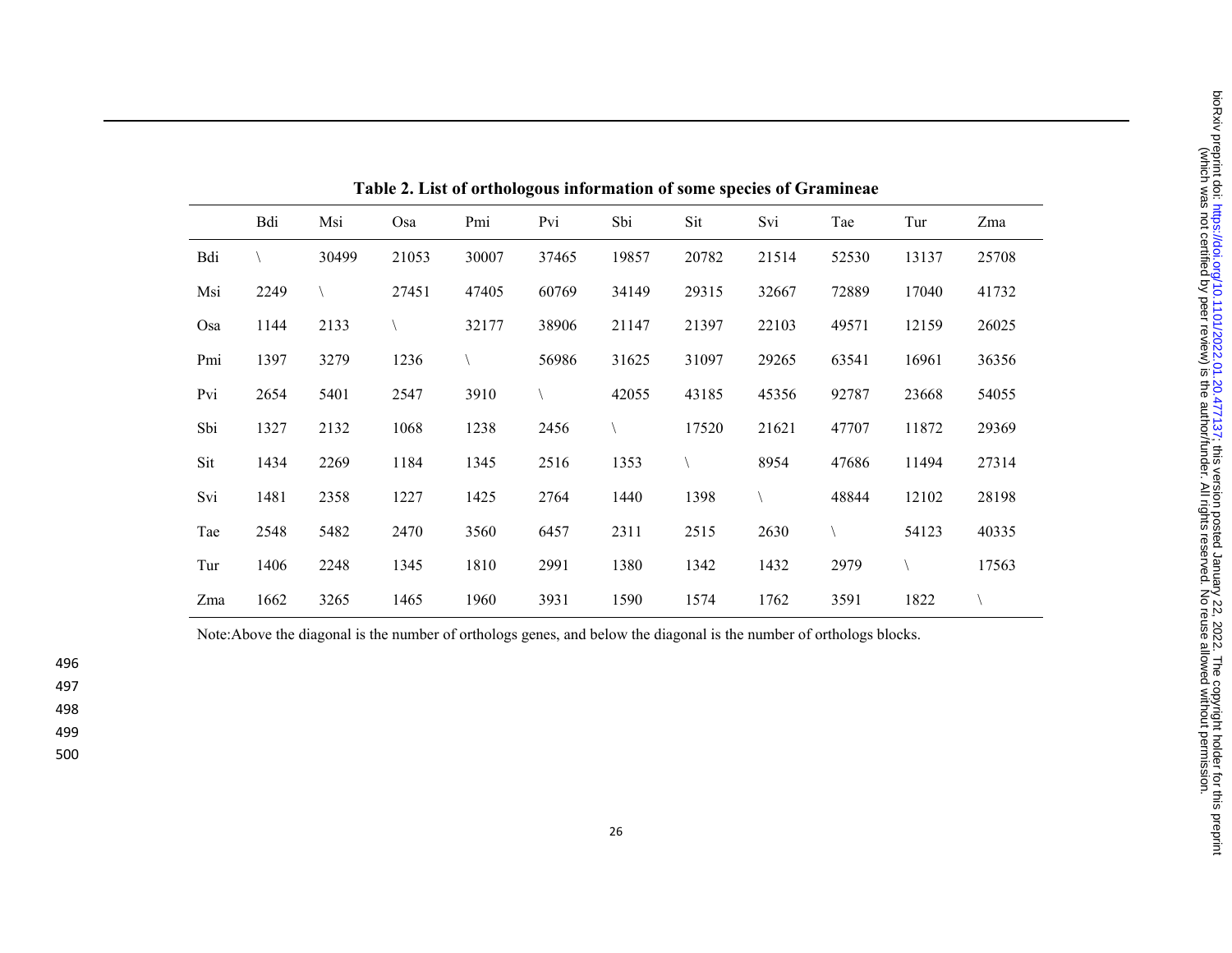| Table 2. List of orthologous information of some species of Gramineae |      |       |       |       |       |       |       |       |       |       |       |
|-----------------------------------------------------------------------|------|-------|-------|-------|-------|-------|-------|-------|-------|-------|-------|
|                                                                       | Bdi  | Msi   | Osa   | Pmi   | Pvi   | Sbi   | Sit   | Svi   | Tae   | Tur   | Zma   |
| Bdi                                                                   |      | 30499 | 21053 | 30007 | 37465 | 19857 | 20782 | 21514 | 52530 | 13137 | 25708 |
| Msi                                                                   | 2249 |       | 27451 | 47405 | 60769 | 34149 | 29315 | 32667 | 72889 | 17040 | 41732 |
| Osa                                                                   | 1144 | 2133  |       | 32177 | 38906 | 21147 | 21397 | 22103 | 49571 | 12159 | 26025 |
| Pmi                                                                   | 1397 | 3279  | 1236  |       | 56986 | 31625 | 31097 | 29265 | 63541 | 16961 | 36356 |
| Pvi                                                                   | 2654 | 5401  | 2547  | 3910  |       | 42055 | 43185 | 45356 | 92787 | 23668 | 54055 |
| Sbi                                                                   | 1327 | 2132  | 1068  | 1238  | 2456  |       | 17520 | 21621 | 47707 | 11872 | 29369 |
| Sit                                                                   | 1434 | 2269  | 1184  | 1345  | 2516  | 1353  |       | 8954  | 47686 | 11494 | 27314 |
| Svi                                                                   | 1481 | 2358  | 1227  | 1425  | 2764  | 1440  | 1398  |       | 48844 | 12102 | 28198 |
| Tae                                                                   | 2548 | 5482  | 2470  | 3560  | 6457  | 2311  | 2515  | 2630  |       | 54123 | 40335 |
| Tur                                                                   | 1406 | 2248  | 1345  | 1810  | 2991  | 1380  | 1342  | 1432  | 2979  |       | 17563 |
| Zma                                                                   | 1662 | 3265  | 1465  | 1960  | 3931  | 1590  | 1574  | 1762  | 3591  | 1822  |       |

Note:Above the diagonal is the number of orthologs genes, and below the diagonal is the number of orthologs blocks.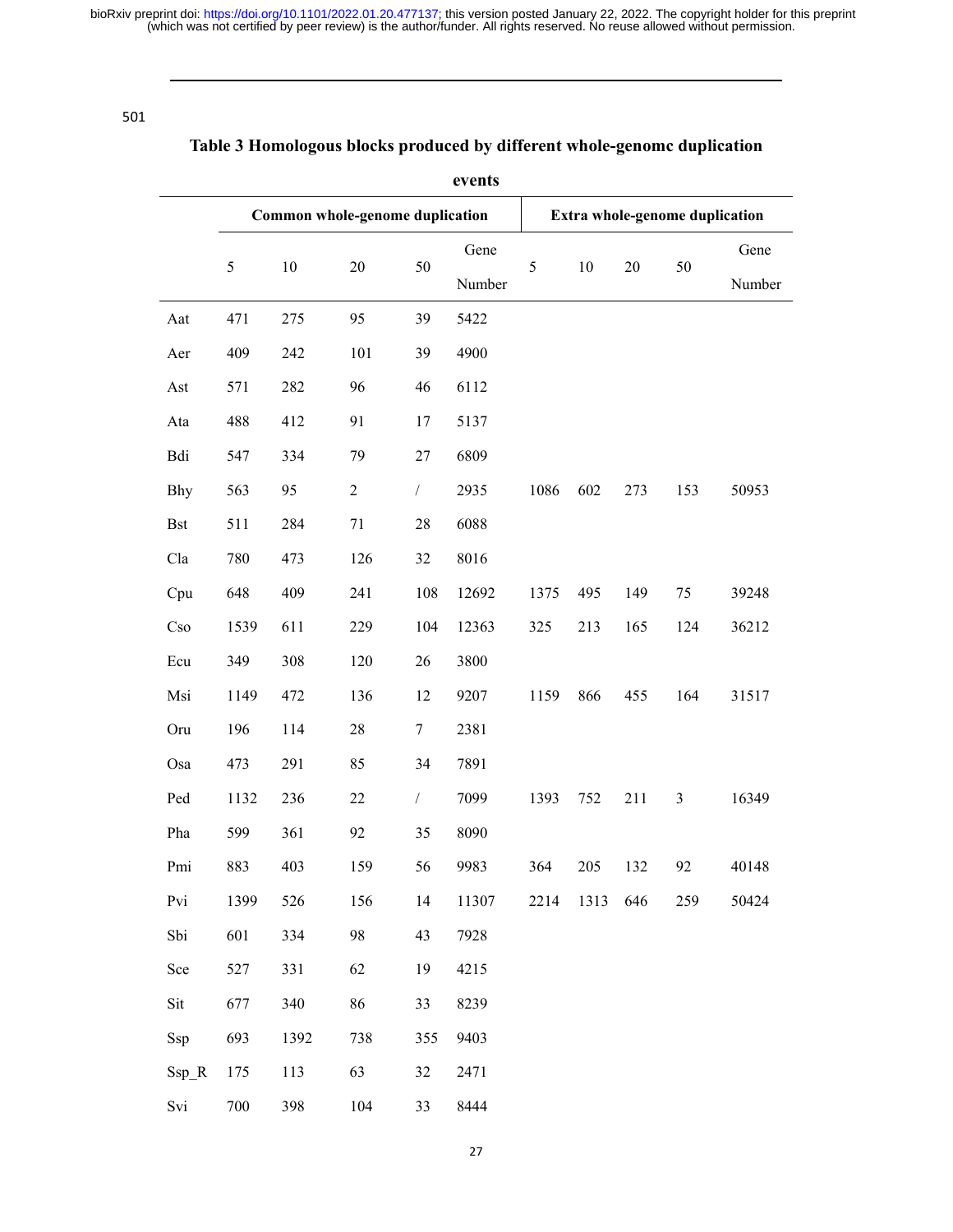501

# **Table 3 Homologous blocks produced by different whole-genomc duplication**

| events     |                       |                                 |            |                |                                |        |        |     |                |       |
|------------|-----------------------|---------------------------------|------------|----------------|--------------------------------|--------|--------|-----|----------------|-------|
|            |                       | Common whole-genome duplication |            |                | Extra whole-genome duplication |        |        |     |                |       |
|            | 5<br>$10\,$<br>$20\,$ |                                 | 50         | Gene<br>Number | 5                              | $10\,$ | $20\,$ | 50  | Gene<br>Number |       |
| Aat        | 471                   | 275                             | 95         | 39             | 5422                           |        |        |     |                |       |
| Aer        | 409                   | 242                             | 101        | 39             | 4900                           |        |        |     |                |       |
| Ast        | 571                   | 282                             | 96         | 46             | 6112                           |        |        |     |                |       |
| Ata        | 488                   | 412                             | 91         | 17             | 5137                           |        |        |     |                |       |
| Bdi        | 547                   | 334                             | 79         | $27\,$         | 6809                           |        |        |     |                |       |
| Bhy        | 563                   | 95                              | $\sqrt{2}$ | $\sqrt{2}$     | 2935                           | 1086   | 602    | 273 | 153            | 50953 |
| <b>Bst</b> | 511                   | 284                             | 71         | 28             | 6088                           |        |        |     |                |       |
| Cla        | 780                   | 473                             | 126        | 32             | 8016                           |        |        |     |                |       |
| Cpu        | 648                   | 409                             | 241        | 108            | 12692                          | 1375   | 495    | 149 | 75             | 39248 |
| Cso        | 1539                  | 611                             | 229        | 104            | 12363                          | 325    | 213    | 165 | 124            | 36212 |
| Ecu        | 349                   | 308                             | 120        | 26             | 3800                           |        |        |     |                |       |
| Msi        | 1149                  | 472                             | 136        | 12             | 9207                           | 1159   | 866    | 455 | 164            | 31517 |
| Oru        | 196                   | 114                             | 28         | $\tau$         | 2381                           |        |        |     |                |       |
| Osa        | 473                   | 291                             | 85         | 34             | 7891                           |        |        |     |                |       |
| Ped        | 1132                  | 236                             | 22         | $\sqrt{2}$     | 7099                           | 1393   | 752    | 211 | $\mathfrak{Z}$ | 16349 |
| Pha        | 599                   | 361                             | 92         | 35             | 8090                           |        |        |     |                |       |
| Pmi        | 883                   | 403                             | 159        | 56             | 9983                           | 364    | 205    | 132 | 92             | 40148 |
| Pvi        | 1399                  | 526                             | 156        | 14             | 11307                          | 2214   | 1313   | 646 | 259            | 50424 |
| Sbi        | 601                   | 334                             | 98         | 43             | 7928                           |        |        |     |                |       |
| Sce        | 527                   | 331                             | 62         | 19             | 4215                           |        |        |     |                |       |
| Sit        | 677                   | 340                             | 86         | 33             | 8239                           |        |        |     |                |       |
| Ssp        | 693                   | 1392                            | 738        | 355            | 9403                           |        |        |     |                |       |
| $Ssp_R$    | 175                   | 113                             | 63         | 32             | 2471                           |        |        |     |                |       |
| Svi        | 700                   | 398                             | 104        | 33             | 8444                           |        |        |     |                |       |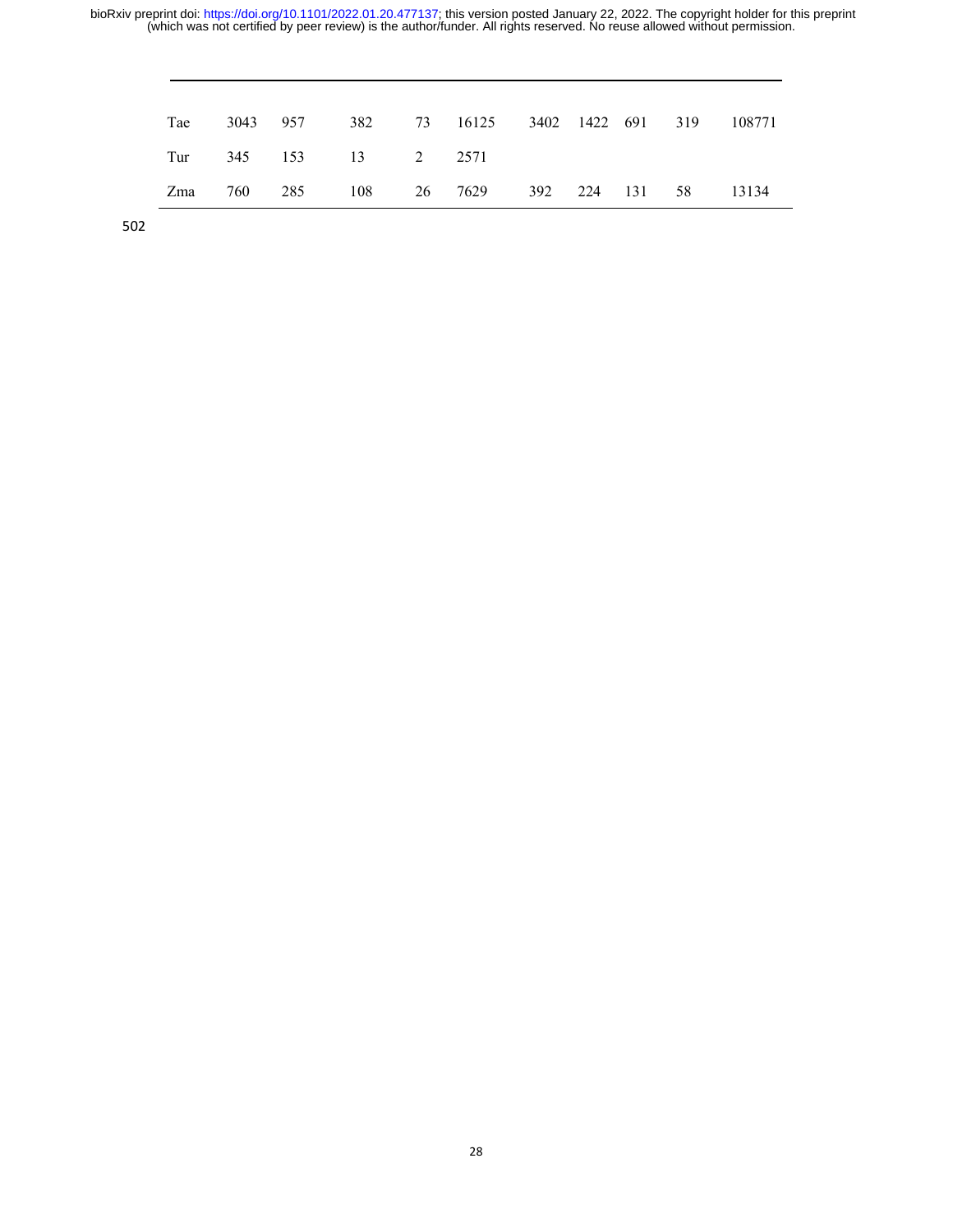| Tae |  |                       | 3043 957 382 73 16125 3402 1422 691 319 108771 |  |  |  |
|-----|--|-----------------------|------------------------------------------------|--|--|--|
|     |  | Tur 345 153 13 2 2571 |                                                |  |  |  |
|     |  |                       | Zma 760 285 108 26 7629 392 224 131 58 13134   |  |  |  |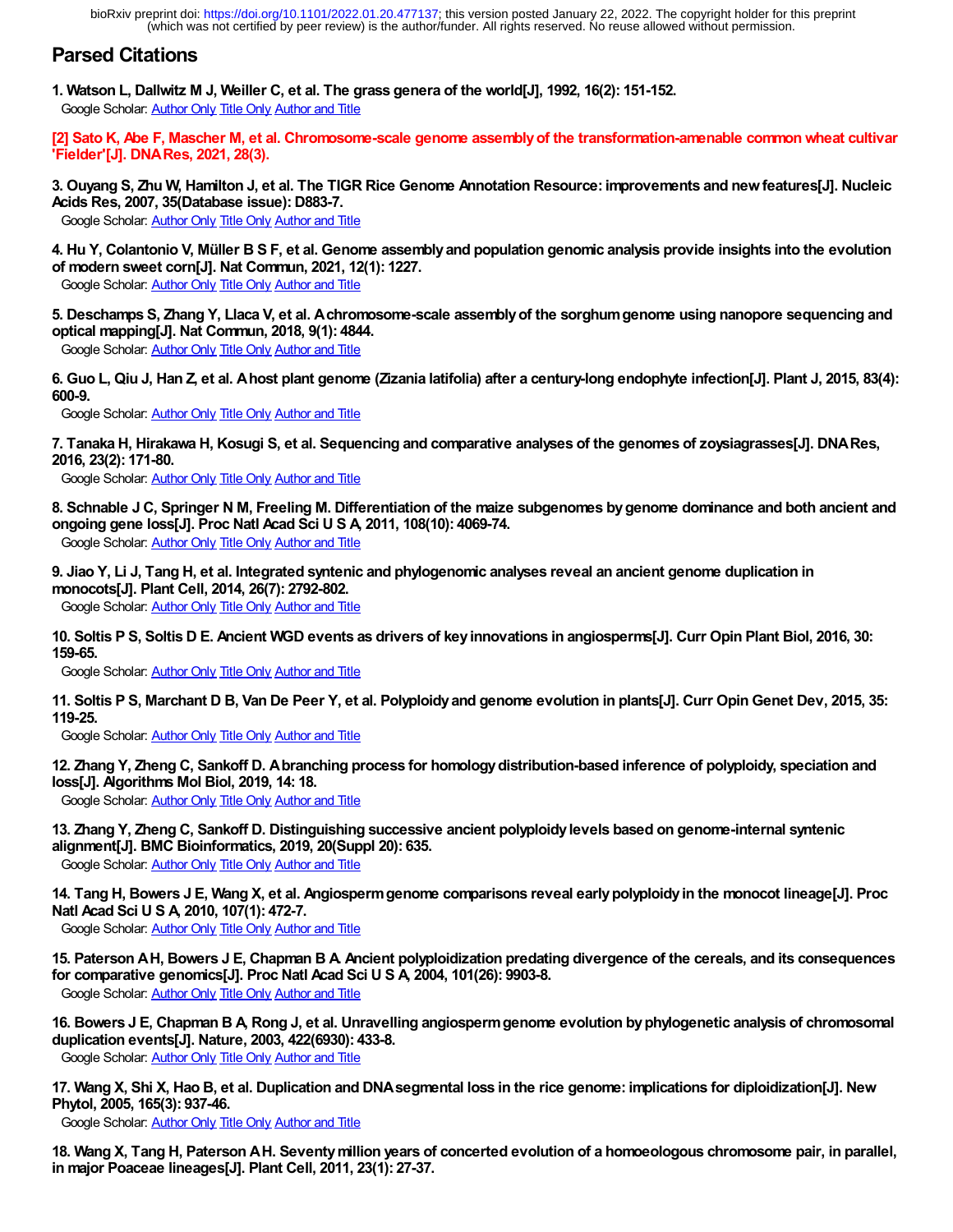# **Parsed Citations**

**1. Watson L, Dallwitz M J, Weiller C, et al. The grass genera of the world[J], 1992, 16(2): 151-152.** Google Scholar: [Author Only](https://scholar.google.com/scholar?as_q=&num=10&as_occt=any&as_sauthors=1&hl=en&c2coff=1) [Title Only](https://scholar.google.com/scholar?as_q=Watson%20L,%20Dallwitz%20M%20J,%20Weiller%20C,%20et%20al&num=10&btnG=Search+Scholar&as_epq=&as_oq=&as_eq=&as_occt=any&as_publication=&as_yhi=&as_allsubj=all&hl=en&lr=&c2coff=1) [Author and Title](https://scholar.google.com/scholar?as_q=Watson%20L,%20Dallwitz%20M%20J,%20Weiller%20C,%20et%20al&num=10&btnG=Search+Scholar&as_occt=any&as_sauthors=1&as_ylo=1992&as_allsubj=all&hl=en&c2coff=1)

**[2] Sato K, Abe F, Mascher M, et al. Chromosome-scale genome assembly of the transformation-amenable common wheat cultivar 'Fielder'[J]. DNA Res, 2021, 28(3).**

**3. Ouyang S, Zhu W, Hamilton J, et al. The TIGR Rice Genome Annotation Resource: improvements and new features[J]. Nucleic Acids Res, 2007, 35(Database issue): D883-7.**

Google Scholar: [Author Only](https://scholar.google.com/scholar?as_q=&num=10&as_occt=any&as_sauthors=3&hl=en&c2coff=1) [Title Only](https://scholar.google.com/scholar?as_q=Ouyang%20S,%20Zhu%20W,%20Hamilton%20J,%20et%20al&num=10&btnG=Search+Scholar&as_epq=&as_oq=&as_eq=&as_occt=any&as_publication=&as_yhi=&as_allsubj=all&hl=en&lr=&c2coff=1) [Author and Title](https://scholar.google.com/scholar?as_q=Ouyang%20S,%20Zhu%20W,%20Hamilton%20J,%20et%20al&num=10&btnG=Search+Scholar&as_occt=any&as_sauthors=3&as_ylo=2007&as_allsubj=all&hl=en&c2coff=1)

**4. Hu Y, Colantonio V, Müller B S F, et al. Genome assembly and population genomic analysis provide insights into the evolution of modern sweet corn[J]. Nat Commun, 2021, 12(1): 1227.**

Google Scholar: [Author Only](https://scholar.google.com/scholar?as_q=&num=10&as_occt=any&as_sauthors=4&hl=en&c2coff=1) [Title Only](https://scholar.google.com/scholar?as_q=Hu%20Y,%20Colantonio%20V,%20M%C3%83%C2%BCller%20B%20S%20F,%20et%20al&num=10&btnG=Search+Scholar&as_epq=&as_oq=&as_eq=&as_occt=any&as_publication=&as_yhi=&as_allsubj=all&hl=en&lr=&c2coff=1) [Author and Title](https://scholar.google.com/scholar?as_q=Hu%20Y,%20Colantonio%20V,%20M%C3%83%C2%BCller%20B%20S%20F,%20et%20al&num=10&btnG=Search+Scholar&as_occt=any&as_sauthors=4&as_ylo=2021&as_allsubj=all&hl=en&c2coff=1)

**5. Deschamps S, Zhang Y, Llaca V, et al. A chromosome-scale assembly of the sorghum genome using nanopore sequencing and optical mapping[J]. Nat Commun, 2018, 9(1): 4844.**

Google Scholar: [Author Only](https://scholar.google.com/scholar?as_q=&num=10&as_occt=any&as_sauthors=5&hl=en&c2coff=1) [Title Only](https://scholar.google.com/scholar?as_q=Deschamps%20S,%20Zhang%20Y,%20Llaca%20V,%20et%20al&num=10&btnG=Search+Scholar&as_epq=&as_oq=&as_eq=&as_occt=any&as_publication=&as_yhi=&as_allsubj=all&hl=en&lr=&c2coff=1) [Author and Title](https://scholar.google.com/scholar?as_q=Deschamps%20S,%20Zhang%20Y,%20Llaca%20V,%20et%20al&num=10&btnG=Search+Scholar&as_occt=any&as_sauthors=5&as_ylo=2018&as_allsubj=all&hl=en&c2coff=1)

**6. Guo L, Qiu J, Han Z, et al. A host plant genome (Zizania latifolia) after a century-long endophyte infection[J]. Plant J, 2015, 83(4): 600-9.**

Google Scholar: [Author Only](https://scholar.google.com/scholar?as_q=&num=10&as_occt=any&as_sauthors=6&hl=en&c2coff=1) [Title Only](https://scholar.google.com/scholar?as_q=Guo%20L,%20Qiu%20J,%20Han%20Z,%20et%20al&num=10&btnG=Search+Scholar&as_epq=&as_oq=&as_eq=&as_occt=any&as_publication=&as_yhi=&as_allsubj=all&hl=en&lr=&c2coff=1) [Author and Title](https://scholar.google.com/scholar?as_q=Guo%20L,%20Qiu%20J,%20Han%20Z,%20et%20al&num=10&btnG=Search+Scholar&as_occt=any&as_sauthors=6&as_ylo=2015&as_allsubj=all&hl=en&c2coff=1)

**7. Tanaka H, Hirakawa H, Kosugi S, et al. Sequencing and comparative analyses of the genomes of zoysiagrasses[J]. DNA Res, 2016, 23(2): 171-80.**

Google Scholar: **[Author Only](https://scholar.google.com/scholar?as_q=&num=10&as_occt=any&as_sauthors=7&hl=en&c2coff=1) [Title Only](https://scholar.google.com/scholar?as_q=Tanaka%20H,%20Hirakawa%20H,%20Kosugi%20S,%20et%20al&num=10&btnG=Search+Scholar&as_epq=&as_oq=&as_eq=&as_occt=any&as_publication=&as_yhi=&as_allsubj=all&hl=en&lr=&c2coff=1) [Author and Title](https://scholar.google.com/scholar?as_q=Tanaka%20H,%20Hirakawa%20H,%20Kosugi%20S,%20et%20al&num=10&btnG=Search+Scholar&as_occt=any&as_sauthors=7&as_ylo=2016&as_allsubj=all&hl=en&c2coff=1)** 

**8. Schnable J C, Springer N M, Freeling M. Differentiation of the maize subgenomes by genome dominance and both ancient and ongoing gene loss[J]. Proc Natl Acad Sci U S A, 2011, 108(10): 4069-74.**

Google Scholar: [Author Only](https://scholar.google.com/scholar?as_q=&num=10&as_occt=any&as_sauthors=8&hl=en&c2coff=1) [Title Only](https://scholar.google.com/scholar?as_q=Schnable%20J%20C,%20Springer%20N%20M,%20Freeling%20M&num=10&btnG=Search+Scholar&as_epq=&as_oq=&as_eq=&as_occt=any&as_publication=&as_yhi=&as_allsubj=all&hl=en&lr=&c2coff=1) [Author and Title](https://scholar.google.com/scholar?as_q=Schnable%20J%20C,%20Springer%20N%20M,%20Freeling%20M&num=10&btnG=Search+Scholar&as_occt=any&as_sauthors=8&as_ylo=2011&as_allsubj=all&hl=en&c2coff=1)

**9. Jiao Y, Li J, Tang H, et al. Integrated syntenic and phylogenomic analyses reveal an ancient genome duplication in monocots[J]. Plant Cell, 2014, 26(7): 2792-802.**

Google Scholar: [Author Only](https://scholar.google.com/scholar?as_q=&num=10&as_occt=any&as_sauthors=9&hl=en&c2coff=1) [Title Only](https://scholar.google.com/scholar?as_q=Jiao%20Y,%20Li%20J,%20Tang%20H,%20et%20al&num=10&btnG=Search+Scholar&as_epq=&as_oq=&as_eq=&as_occt=any&as_publication=&as_yhi=&as_allsubj=all&hl=en&lr=&c2coff=1) [Author and Title](https://scholar.google.com/scholar?as_q=Jiao%20Y,%20Li%20J,%20Tang%20H,%20et%20al&num=10&btnG=Search+Scholar&as_occt=any&as_sauthors=9&as_ylo=2014&as_allsubj=all&hl=en&c2coff=1)

**10. Soltis P S, Soltis D E. Ancient WGD events as drivers of key innovations in angiosperms[J]. Curr Opin Plant Biol, 2016, 30: 159-65.**

Google Scholar: [Author Only](https://scholar.google.com/scholar?as_q=&num=10&as_occt=any&as_sauthors=10&hl=en&c2coff=1) [Title Only](https://scholar.google.com/scholar?as_q=Soltis%20P%20S,%20Soltis%20D%20E&num=10&btnG=Search+Scholar&as_epq=&as_oq=&as_eq=&as_occt=any&as_publication=&as_yhi=&as_allsubj=all&hl=en&lr=&c2coff=1) [Author and Title](https://scholar.google.com/scholar?as_q=Soltis%20P%20S,%20Soltis%20D%20E&num=10&btnG=Search+Scholar&as_occt=any&as_sauthors=10&as_ylo=2016&as_allsubj=all&hl=en&c2coff=1)

**11. Soltis P S, Marchant D B, Van De Peer Y, et al. Polyploidy and genome evolution in plants[J]. Curr Opin Genet Dev, 2015, 35: 119-25.**

Google Scholar: [Author Only](https://scholar.google.com/scholar?as_q=&num=10&as_occt=any&as_sauthors=11&hl=en&c2coff=1) [Title Only](https://scholar.google.com/scholar?as_q=Soltis%20P%20S,%20Marchant%20D%20B,%20Van%20De%20Peer%20Y,%20et%20al&num=10&btnG=Search+Scholar&as_epq=&as_oq=&as_eq=&as_occt=any&as_publication=&as_yhi=&as_allsubj=all&hl=en&lr=&c2coff=1) [Author and Title](https://scholar.google.com/scholar?as_q=Soltis%20P%20S,%20Marchant%20D%20B,%20Van%20De%20Peer%20Y,%20et%20al&num=10&btnG=Search+Scholar&as_occt=any&as_sauthors=11&as_ylo=2015&as_allsubj=all&hl=en&c2coff=1)

**12. Zhang Y, Zheng C, Sankoff D. A branching process for homology distribution-based inference of polyploidy, speciation and loss[J]. Algorithms Mol Biol, 2019, 14: 18.**

Google Scholar: [Author Only](https://scholar.google.com/scholar?as_q=&num=10&as_occt=any&as_sauthors=12&hl=en&c2coff=1) [Title Only](https://scholar.google.com/scholar?as_q=Zhang%20Y,%20Zheng%20C,%20Sankoff%20D&num=10&btnG=Search+Scholar&as_epq=&as_oq=&as_eq=&as_occt=any&as_publication=&as_yhi=&as_allsubj=all&hl=en&lr=&c2coff=1) [Author and Title](https://scholar.google.com/scholar?as_q=Zhang%20Y,%20Zheng%20C,%20Sankoff%20D&num=10&btnG=Search+Scholar&as_occt=any&as_sauthors=12&as_ylo=2019&as_allsubj=all&hl=en&c2coff=1)

**13. Zhang Y, Zheng C, Sankoff D. Distinguishing successive ancient polyploidy levels based on genome-internal syntenic alignment[J]. BMC Bioinformatics, 2019, 20(Suppl 20): 635.** Google Scholar: [Author Only](https://scholar.google.com/scholar?as_q=&num=10&as_occt=any&as_sauthors=13&hl=en&c2coff=1) [Title Only](https://scholar.google.com/scholar?as_q=Zhang%20Y,%20Zheng%20C,%20Sankoff%20D&num=10&btnG=Search+Scholar&as_epq=&as_oq=&as_eq=&as_occt=any&as_publication=&as_yhi=&as_allsubj=all&hl=en&lr=&c2coff=1) [Author and Title](https://scholar.google.com/scholar?as_q=Zhang%20Y,%20Zheng%20C,%20Sankoff%20D&num=10&btnG=Search+Scholar&as_occt=any&as_sauthors=13&as_ylo=2019&as_allsubj=all&hl=en&c2coff=1)

**14. Tang H, Bowers J E, Wang X, et al. Angiosperm genome comparisons reveal early polyploidy in the monocot lineage[J]. Proc Natl Acad Sci U S A, 2010, 107(1): 472-7.**

Google Scholar: [Author Only](https://scholar.google.com/scholar?as_q=&num=10&as_occt=any&as_sauthors=14&hl=en&c2coff=1) [Title Only](https://scholar.google.com/scholar?as_q=Tang%20H,%20Bowers%20J%20E,%20Wang%20X,%20et%20al&num=10&btnG=Search+Scholar&as_epq=&as_oq=&as_eq=&as_occt=any&as_publication=&as_yhi=&as_allsubj=all&hl=en&lr=&c2coff=1) [Author and Title](https://scholar.google.com/scholar?as_q=Tang%20H,%20Bowers%20J%20E,%20Wang%20X,%20et%20al&num=10&btnG=Search+Scholar&as_occt=any&as_sauthors=14&as_ylo=2010&as_allsubj=all&hl=en&c2coff=1)

**15. Paterson A H, Bowers J E, Chapman B A. Ancient polyploidization predating divergence of the cereals, and its consequences for comparative genomics[J]. Proc Natl Acad Sci U S A, 2004, 101(26): 9903-8.**

Google Scholar: [Author Only](https://scholar.google.com/scholar?as_q=&num=10&as_occt=any&as_sauthors=15&hl=en&c2coff=1) [Title Only](https://scholar.google.com/scholar?as_q=Paterson%20A%20H,%20Bowers%20J%20E,%20Chapman%20B%20A&num=10&btnG=Search+Scholar&as_epq=&as_oq=&as_eq=&as_occt=any&as_publication=&as_yhi=&as_allsubj=all&hl=en&lr=&c2coff=1) [Author and Title](https://scholar.google.com/scholar?as_q=Paterson%20A%20H,%20Bowers%20J%20E,%20Chapman%20B%20A&num=10&btnG=Search+Scholar&as_occt=any&as_sauthors=15&as_ylo=2004&as_allsubj=all&hl=en&c2coff=1)

**16. Bowers J E, Chapman B A, Rong J, et al. Unravelling angiosperm genome evolution by phylogenetic analysis of chromosomal duplication events[J]. Nature, 2003, 422(6930): 433-8.**

Google Scholar: [Author Only](https://scholar.google.com/scholar?as_q=&num=10&as_occt=any&as_sauthors=16&hl=en&c2coff=1) [Title Only](https://scholar.google.com/scholar?as_q=Bowers%20J%20E,%20Chapman%20B%20A,%20Rong%20J,%20et%20al&num=10&btnG=Search+Scholar&as_epq=&as_oq=&as_eq=&as_occt=any&as_publication=&as_yhi=&as_allsubj=all&hl=en&lr=&c2coff=1) [Author and Title](https://scholar.google.com/scholar?as_q=Bowers%20J%20E,%20Chapman%20B%20A,%20Rong%20J,%20et%20al&num=10&btnG=Search+Scholar&as_occt=any&as_sauthors=16&as_ylo=2003&as_allsubj=all&hl=en&c2coff=1)

**17. Wang X, Shi X, Hao B, et al. Duplication and DNA segmental loss in the rice genome: implications for diploidization[J]. New Phytol, 2005, 165(3): 937-46.**

Google Scholar: [Author Only](https://scholar.google.com/scholar?as_q=&num=10&as_occt=any&as_sauthors=17&hl=en&c2coff=1) [Title Only](https://scholar.google.com/scholar?as_q=Wang%20X,%20Shi%20X,%20Hao%20B,%20et%20al&num=10&btnG=Search+Scholar&as_epq=&as_oq=&as_eq=&as_occt=any&as_publication=&as_yhi=&as_allsubj=all&hl=en&lr=&c2coff=1) [Author and Title](https://scholar.google.com/scholar?as_q=Wang%20X,%20Shi%20X,%20Hao%20B,%20et%20al&num=10&btnG=Search+Scholar&as_occt=any&as_sauthors=17&as_ylo=2005&as_allsubj=all&hl=en&c2coff=1)

**18. Wang X, Tang H, Paterson A H. Seventy million years of concerted evolution of a homoeologous chromosome pair, in parallel, in major Poaceae lineages[J]. Plant Cell, 2011, 23(1): 27-37.**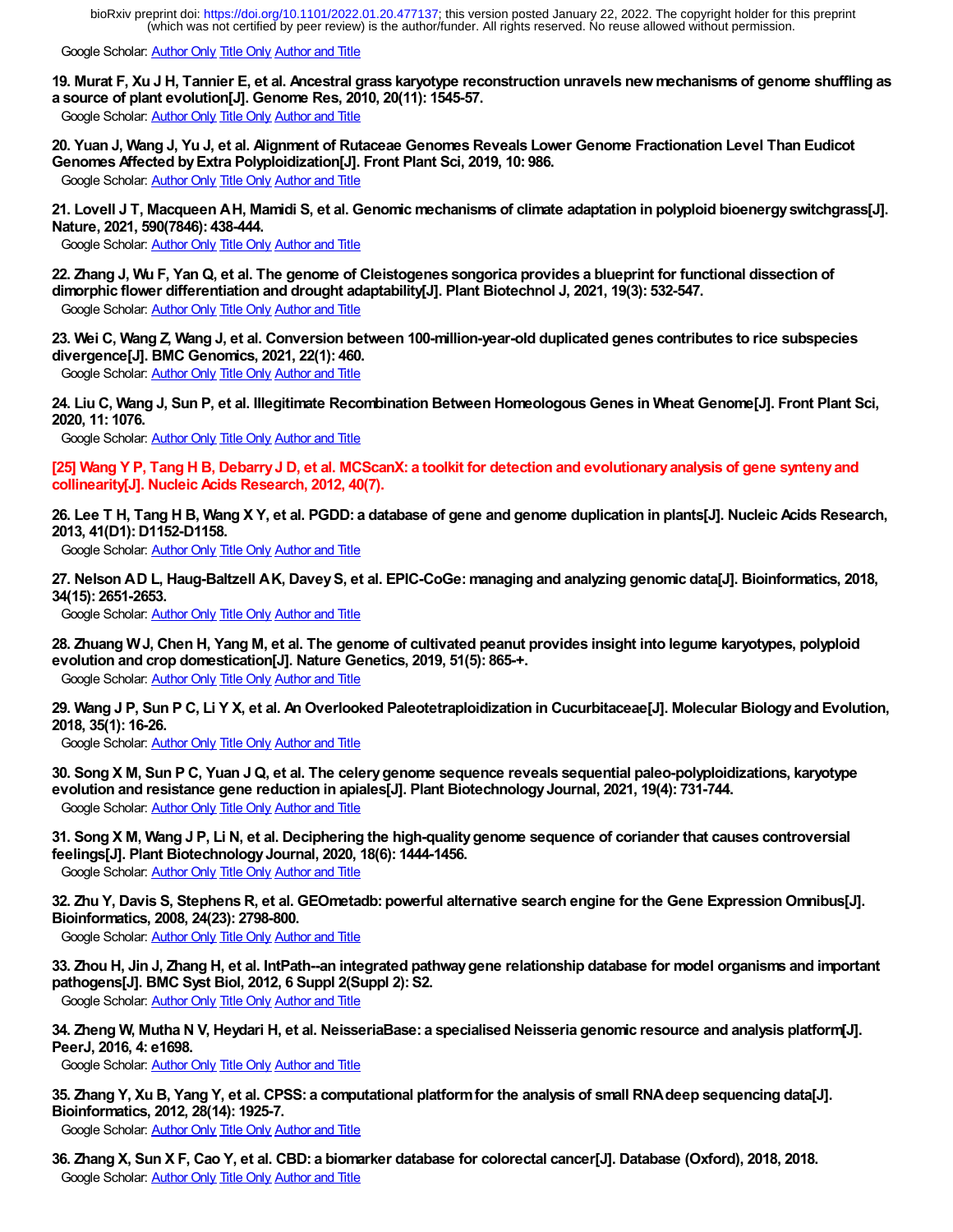Google Scholar: [Author Only](https://scholar.google.com/scholar?as_q=&num=10&as_occt=any&as_sauthors=18&hl=en&c2coff=1) [Title Only](https://scholar.google.com/scholar?as_q=Wang%20X,%20Tang%20H,%20Paterson%20A%20H&num=10&btnG=Search+Scholar&as_epq=&as_oq=&as_eq=&as_occt=any&as_publication=&as_yhi=&as_allsubj=all&hl=en&lr=&c2coff=1) [Author and Title](https://scholar.google.com/scholar?as_q=Wang%20X,%20Tang%20H,%20Paterson%20A%20H&num=10&btnG=Search+Scholar&as_occt=any&as_sauthors=18&as_ylo=2011&as_allsubj=all&hl=en&c2coff=1)

**19. Murat F, Xu J H, Tannier E, et al. Ancestral grass karyotype reconstruction unravels new mechanisms of genome shuffling as a source of plant evolution[J]. Genome Res, 2010, 20(11): 1545-57.**

Google Scholar: [Author Only](https://scholar.google.com/scholar?as_q=&num=10&as_occt=any&as_sauthors=19&hl=en&c2coff=1) [Title Only](https://scholar.google.com/scholar?as_q=Murat%20F,%20Xu%20J%20H,%20Tannier%20E,%20et%20al&num=10&btnG=Search+Scholar&as_epq=&as_oq=&as_eq=&as_occt=any&as_publication=&as_yhi=&as_allsubj=all&hl=en&lr=&c2coff=1) [Author and Title](https://scholar.google.com/scholar?as_q=Murat%20F,%20Xu%20J%20H,%20Tannier%20E,%20et%20al&num=10&btnG=Search+Scholar&as_occt=any&as_sauthors=19&as_ylo=2010&as_allsubj=all&hl=en&c2coff=1)

**20. Yuan J, Wang J, Yu J, et al. Alignment of Rutaceae Genomes Reveals Lower Genome Fractionation Level Than Eudicot Genomes Affected by Extra Polyploidization[J]. Front Plant Sci, 2019, 10: 986.** Google Scholar: [Author Only](https://scholar.google.com/scholar?as_q=&num=10&as_occt=any&as_sauthors=20&hl=en&c2coff=1) [Title Only](https://scholar.google.com/scholar?as_q=Yuan%20J,%20Wang%20J,%20Yu%20J,%20et%20al&num=10&btnG=Search+Scholar&as_epq=&as_oq=&as_eq=&as_occt=any&as_publication=&as_yhi=&as_allsubj=all&hl=en&lr=&c2coff=1) [Author and Title](https://scholar.google.com/scholar?as_q=Yuan%20J,%20Wang%20J,%20Yu%20J,%20et%20al&num=10&btnG=Search+Scholar&as_occt=any&as_sauthors=20&as_ylo=2019&as_allsubj=all&hl=en&c2coff=1)

**21. Lovell J T, Macqueen A H, Mamidi S, et al. Genomic mechanisms of climate adaptation in polyploid bioenergy switchgrass[J]. Nature, 2021, 590(7846): 438-444.**

Google Scholar: [Author Only](https://scholar.google.com/scholar?as_q=&num=10&as_occt=any&as_sauthors=21&hl=en&c2coff=1) [Title Only](https://scholar.google.com/scholar?as_q=Lovell%20J%20T,%20Macqueen%20A%20H,%20Mamidi%20S,%20et%20al&num=10&btnG=Search+Scholar&as_epq=&as_oq=&as_eq=&as_occt=any&as_publication=&as_yhi=&as_allsubj=all&hl=en&lr=&c2coff=1) [Author and Title](https://scholar.google.com/scholar?as_q=Lovell%20J%20T,%20Macqueen%20A%20H,%20Mamidi%20S,%20et%20al&num=10&btnG=Search+Scholar&as_occt=any&as_sauthors=21&as_ylo=2021&as_allsubj=all&hl=en&c2coff=1)

**22. Zhang J, Wu F, Yan Q, et al. The genome of Cleistogenes songorica provides a blueprint for functional dissection of dimorphic flower differentiation and drought adaptability[J]. Plant Biotechnol J, 2021, 19(3): 532-547.** Google Scholar: [Author Only](https://scholar.google.com/scholar?as_q=&num=10&as_occt=any&as_sauthors=22&hl=en&c2coff=1) [Title Only](https://scholar.google.com/scholar?as_q=Zhang%20J,%20Wu%20F,%20Yan%20Q,%20et%20al&num=10&btnG=Search+Scholar&as_epq=&as_oq=&as_eq=&as_occt=any&as_publication=&as_yhi=&as_allsubj=all&hl=en&lr=&c2coff=1) [Author and Title](https://scholar.google.com/scholar?as_q=Zhang%20J,%20Wu%20F,%20Yan%20Q,%20et%20al&num=10&btnG=Search+Scholar&as_occt=any&as_sauthors=22&as_ylo=2021&as_allsubj=all&hl=en&c2coff=1)

**23. Wei C, Wang Z, Wang J, et al. Conversion between 100-million-year-old duplicated genes contributes to rice subspecies divergence[J]. BMC Genomics, 2021, 22(1): 460.**

Google Scholar: [Author Only](https://scholar.google.com/scholar?as_q=&num=10&as_occt=any&as_sauthors=23&hl=en&c2coff=1) [Title Only](https://scholar.google.com/scholar?as_q=Wei%20C,%20Wang%20Z,%20Wang%20J,%20et%20al&num=10&btnG=Search+Scholar&as_epq=&as_oq=&as_eq=&as_occt=any&as_publication=&as_yhi=&as_allsubj=all&hl=en&lr=&c2coff=1) [Author and Title](https://scholar.google.com/scholar?as_q=Wei%20C,%20Wang%20Z,%20Wang%20J,%20et%20al&num=10&btnG=Search+Scholar&as_occt=any&as_sauthors=23&as_ylo=2021&as_allsubj=all&hl=en&c2coff=1)

**24. Liu C, Wang J, Sun P, et al. Illegitimate Recombination Between Homeologous Genes in Wheat Genome[J]. Front Plant Sci, 2020, 11: 1076.**

Google Scholar: [Author Only](https://scholar.google.com/scholar?as_q=&num=10&as_occt=any&as_sauthors=24&hl=en&c2coff=1) [Title Only](https://scholar.google.com/scholar?as_q=Liu%20C,%20Wang%20J,%20Sun%20P,%20et%20al&num=10&btnG=Search+Scholar&as_epq=&as_oq=&as_eq=&as_occt=any&as_publication=&as_yhi=&as_allsubj=all&hl=en&lr=&c2coff=1) [Author and Title](https://scholar.google.com/scholar?as_q=Liu%20C,%20Wang%20J,%20Sun%20P,%20et%20al&num=10&btnG=Search+Scholar&as_occt=any&as_sauthors=24&as_ylo=2020&as_allsubj=all&hl=en&c2coff=1)

**[25] Wang Y P, Tang H B, Debarry J D, et al. MCScanX: a toolkit for detection and evolutionary analysis of gene synteny and collinearity[J]. Nucleic Acids Research, 2012, 40(7).**

**26. Lee T H, Tang H B, Wang X Y, et al. PGDD: a database of gene and genome duplication in plants[J]. Nucleic Acids Research, 2013, 41(D1): D1152-D1158.**

Google Scholar: [Author Only](https://scholar.google.com/scholar?as_q=&num=10&as_occt=any&as_sauthors=26&hl=en&c2coff=1) [Title Only](https://scholar.google.com/scholar?as_q=Lee%20T%20H,%20Tang%20H%20B,%20Wang%20X%20Y,%20et%20al&num=10&btnG=Search+Scholar&as_epq=&as_oq=&as_eq=&as_occt=any&as_publication=&as_yhi=&as_allsubj=all&hl=en&lr=&c2coff=1) [Author and Title](https://scholar.google.com/scholar?as_q=Lee%20T%20H,%20Tang%20H%20B,%20Wang%20X%20Y,%20et%20al&num=10&btnG=Search+Scholar&as_occt=any&as_sauthors=26&as_ylo=2013&as_allsubj=all&hl=en&c2coff=1)

**27. Nelson A D L, Haug-Baltzell A K, Davey S, et al. EPIC-CoGe: managing and analyzing genomic data[J]. Bioinformatics, 2018, 34(15): 2651-2653.**

Google Scholar: [Author Only](https://scholar.google.com/scholar?as_q=&num=10&as_occt=any&as_sauthors=27&hl=en&c2coff=1) [Title Only](https://scholar.google.com/scholar?as_q=Nelson%20A%20D%20L,%20Haug-Baltzell%20A%20K,%20Davey%20S,%20et%20al&num=10&btnG=Search+Scholar&as_epq=&as_oq=&as_eq=&as_occt=any&as_publication=&as_yhi=&as_allsubj=all&hl=en&lr=&c2coff=1) [Author and Title](https://scholar.google.com/scholar?as_q=Nelson%20A%20D%20L,%20Haug-Baltzell%20A%20K,%20Davey%20S,%20et%20al&num=10&btnG=Search+Scholar&as_occt=any&as_sauthors=27&as_ylo=2018&as_allsubj=all&hl=en&c2coff=1)

**28. Zhuang W J, Chen H, Yang M, et al. The genome of cultivated peanut provides insight into legume karyotypes, polyploid evolution and crop domestication[J]. Nature Genetics, 2019, 51(5): 865-+.**

Google Scholar: [Author Only](https://scholar.google.com/scholar?as_q=&num=10&as_occt=any&as_sauthors=28&hl=en&c2coff=1) [Title Only](https://scholar.google.com/scholar?as_q=Zhuang%20W%20J,%20Chen%20H,%20Yang%20M,%20et%20al&num=10&btnG=Search+Scholar&as_epq=&as_oq=&as_eq=&as_occt=any&as_publication=&as_yhi=&as_allsubj=all&hl=en&lr=&c2coff=1) [Author and Title](https://scholar.google.com/scholar?as_q=Zhuang%20W%20J,%20Chen%20H,%20Yang%20M,%20et%20al&num=10&btnG=Search+Scholar&as_occt=any&as_sauthors=28&as_ylo=2019&as_allsubj=all&hl=en&c2coff=1)

**29. Wang J P, Sun P C, Li Y X, et al. An Overlooked Paleotetraploidization in Cucurbitaceae[J]. Molecular Biology and Evolution, 2018, 35(1): 16-26.**

Google Scholar: [Author Only](https://scholar.google.com/scholar?as_q=&num=10&as_occt=any&as_sauthors=29&hl=en&c2coff=1) [Title Only](https://scholar.google.com/scholar?as_q=Wang%20J%20P,%20Sun%20P%20C,%20Li%20Y%20X,%20et%20al&num=10&btnG=Search+Scholar&as_epq=&as_oq=&as_eq=&as_occt=any&as_publication=&as_yhi=&as_allsubj=all&hl=en&lr=&c2coff=1) [Author and Title](https://scholar.google.com/scholar?as_q=Wang%20J%20P,%20Sun%20P%20C,%20Li%20Y%20X,%20et%20al&num=10&btnG=Search+Scholar&as_occt=any&as_sauthors=29&as_ylo=2018&as_allsubj=all&hl=en&c2coff=1)

**30. Song X M, Sun P C, Yuan J Q, et al. The celery genome sequence reveals sequential paleo-polyploidizations, karyotype evolution and resistance gene reduction in apiales[J]. Plant Biotechnology Journal, 2021, 19(4): 731-744.** Google Scholar: [Author Only](https://scholar.google.com/scholar?as_q=&num=10&as_occt=any&as_sauthors=30&hl=en&c2coff=1) [Title Only](https://scholar.google.com/scholar?as_q=Song%20X%20M,%20Sun%20P%20C,%20Yuan%20J%20Q,%20et%20al&num=10&btnG=Search+Scholar&as_epq=&as_oq=&as_eq=&as_occt=any&as_publication=&as_yhi=&as_allsubj=all&hl=en&lr=&c2coff=1) [Author and Title](https://scholar.google.com/scholar?as_q=Song%20X%20M,%20Sun%20P%20C,%20Yuan%20J%20Q,%20et%20al&num=10&btnG=Search+Scholar&as_occt=any&as_sauthors=30&as_ylo=2021&as_allsubj=all&hl=en&c2coff=1)

**31. Song X M, Wang J P, Li N, et al. Deciphering the high-quality genome sequence of coriander that causes controversial feelings[J]. Plant Biotechnology Journal, 2020, 18(6): 1444-1456.** Google Scholar: [Author Only](https://scholar.google.com/scholar?as_q=&num=10&as_occt=any&as_sauthors=31&hl=en&c2coff=1) [Title Only](https://scholar.google.com/scholar?as_q=Song%20X%20M,%20Wang%20J%20P,%20Li%20N,%20et%20al&num=10&btnG=Search+Scholar&as_epq=&as_oq=&as_eq=&as_occt=any&as_publication=&as_yhi=&as_allsubj=all&hl=en&lr=&c2coff=1) [Author and Title](https://scholar.google.com/scholar?as_q=Song%20X%20M,%20Wang%20J%20P,%20Li%20N,%20et%20al&num=10&btnG=Search+Scholar&as_occt=any&as_sauthors=31&as_ylo=2020&as_allsubj=all&hl=en&c2coff=1)

**32. Zhu Y, Davis S, Stephens R, et al. GEOmetadb: powerful alternative search engine for the Gene Expression Omnibus[J]. Bioinformatics, 2008, 24(23): 2798-800.**

Google Scholar: [Author Only](https://scholar.google.com/scholar?as_q=&num=10&as_occt=any&as_sauthors=32&hl=en&c2coff=1) [Title Only](https://scholar.google.com/scholar?as_q=Zhu%20Y,%20Davis%20S,%20Stephens%20R,%20et%20al&num=10&btnG=Search+Scholar&as_epq=&as_oq=&as_eq=&as_occt=any&as_publication=&as_yhi=&as_allsubj=all&hl=en&lr=&c2coff=1) [Author and Title](https://scholar.google.com/scholar?as_q=Zhu%20Y,%20Davis%20S,%20Stephens%20R,%20et%20al&num=10&btnG=Search+Scholar&as_occt=any&as_sauthors=32&as_ylo=2008&as_allsubj=all&hl=en&c2coff=1)

**33. Zhou H, Jin J, Zhang H, et al. IntPath--an integrated pathway gene relationship database for model organisms and important pathogens[J]. BMC Syst Biol, 2012, 6 Suppl 2(Suppl 2): S2.** Google Scholar: [Author Only](https://scholar.google.com/scholar?as_q=&num=10&as_occt=any&as_sauthors=33&hl=en&c2coff=1) [Title Only](https://scholar.google.com/scholar?as_q=Zhou%20H,%20Jin%20J,%20Zhang%20H,%20et%20al&num=10&btnG=Search+Scholar&as_epq=&as_oq=&as_eq=&as_occt=any&as_publication=&as_yhi=&as_allsubj=all&hl=en&lr=&c2coff=1) [Author and Title](https://scholar.google.com/scholar?as_q=Zhou%20H,%20Jin%20J,%20Zhang%20H,%20et%20al&num=10&btnG=Search+Scholar&as_occt=any&as_sauthors=33&as_ylo=2012&as_allsubj=all&hl=en&c2coff=1)

**34. Zheng W, Mutha N V, Heydari H, et al. NeisseriaBase: a specialised Neisseria genomic resource and analysis platform[J]. PeerJ, 2016, 4: e1698.**

Google Scholar: [Author Only](https://scholar.google.com/scholar?as_q=&num=10&as_occt=any&as_sauthors=34&hl=en&c2coff=1) [Title Only](https://scholar.google.com/scholar?as_q=Zheng%20W,%20Mutha%20N%20V,%20Heydari%20H,%20et%20al&num=10&btnG=Search+Scholar&as_epq=&as_oq=&as_eq=&as_occt=any&as_publication=&as_yhi=&as_allsubj=all&hl=en&lr=&c2coff=1) [Author and Title](https://scholar.google.com/scholar?as_q=Zheng%20W,%20Mutha%20N%20V,%20Heydari%20H,%20et%20al&num=10&btnG=Search+Scholar&as_occt=any&as_sauthors=34&as_ylo=2016&as_allsubj=all&hl=en&c2coff=1)

**35. Zhang Y, Xu B, Yang Y, et al. CPSS: a computational platform for the analysis of small RNA deep sequencing data[J]. Bioinformatics, 2012, 28(14): 1925-7.**

Google Scholar: [Author Only](https://scholar.google.com/scholar?as_q=&num=10&as_occt=any&as_sauthors=35&hl=en&c2coff=1) [Title Only](https://scholar.google.com/scholar?as_q=Zhang%20Y,%20Xu%20B,%20Yang%20Y,%20et%20al&num=10&btnG=Search+Scholar&as_epq=&as_oq=&as_eq=&as_occt=any&as_publication=&as_yhi=&as_allsubj=all&hl=en&lr=&c2coff=1) [Author and Title](https://scholar.google.com/scholar?as_q=Zhang%20Y,%20Xu%20B,%20Yang%20Y,%20et%20al&num=10&btnG=Search+Scholar&as_occt=any&as_sauthors=35&as_ylo=2012&as_allsubj=all&hl=en&c2coff=1)

**36. Zhang X, Sun X F, Cao Y, et al. CBD: a biomarker database for colorectal cancer[J]. Database (Oxford), 2018, 2018.** Google Scholar: [Author Only](https://scholar.google.com/scholar?as_q=&num=10&as_occt=any&as_sauthors=36&hl=en&c2coff=1) [Title Only](https://scholar.google.com/scholar?as_q=Zhang%20X,%20Sun%20X%20F,%20Cao%20Y,%20et%20al&num=10&btnG=Search+Scholar&as_epq=&as_oq=&as_eq=&as_occt=any&as_publication=&as_yhi=&as_allsubj=all&hl=en&lr=&c2coff=1) [Author and Title](https://scholar.google.com/scholar?as_q=Zhang%20X,%20Sun%20X%20F,%20Cao%20Y,%20et%20al&num=10&btnG=Search+Scholar&as_occt=any&as_sauthors=36&as_ylo=2018&as_allsubj=all&hl=en&c2coff=1)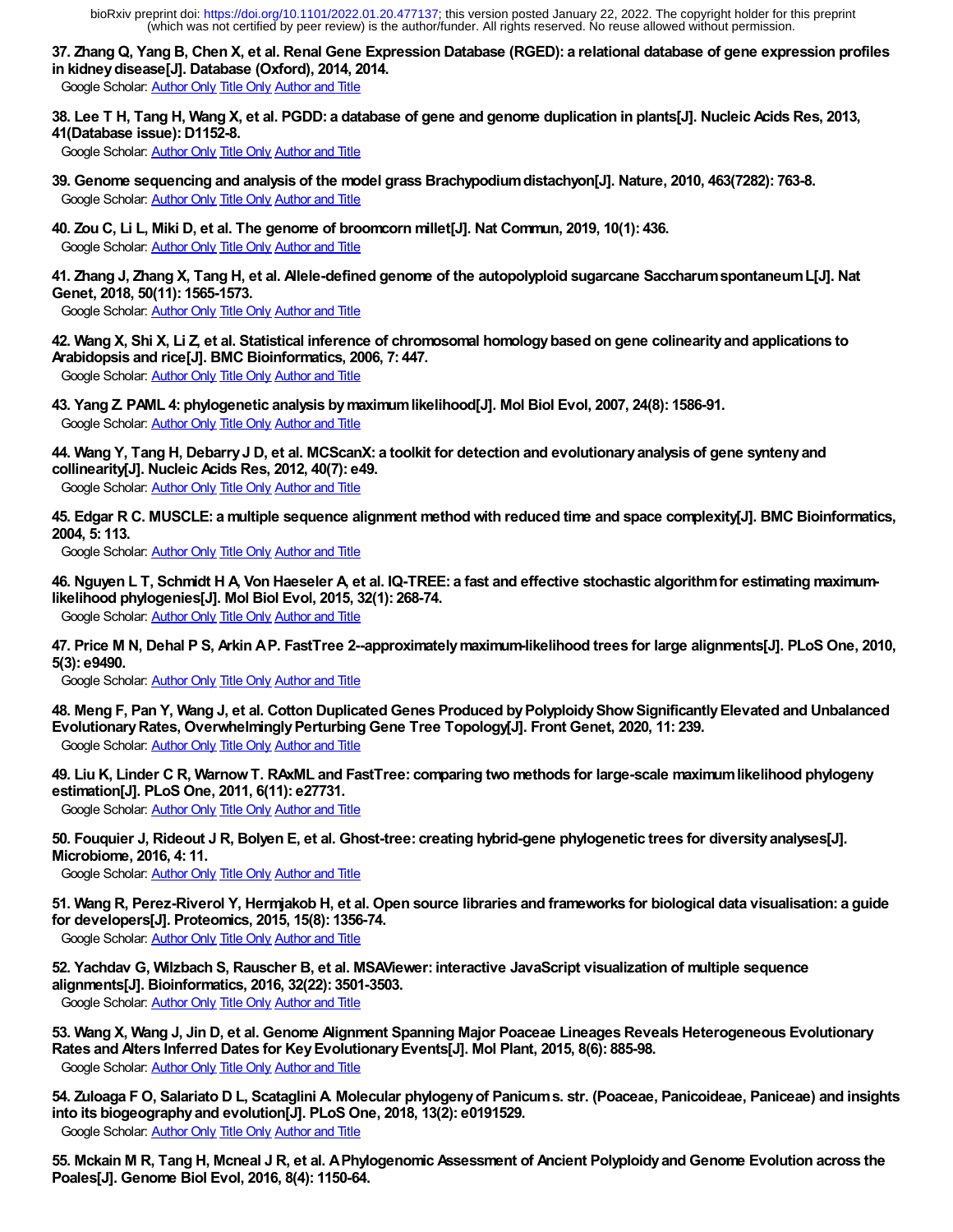**37. Zhang Q, Yang B, Chen X, et al. Renal Gene Expression Database (RGED): a relational database of gene expression profiles in kidney disease[J]. Database (Oxford), 2014, 2014.**

Google Scholar: [Author Only](https://scholar.google.com/scholar?as_q=&num=10&as_occt=any&as_sauthors=37&hl=en&c2coff=1) [Title Only](https://scholar.google.com/scholar?as_q=Zhang%20Q,%20Yang%20B,%20Chen%20X,%20et%20al&num=10&btnG=Search+Scholar&as_epq=&as_oq=&as_eq=&as_occt=any&as_publication=&as_yhi=&as_allsubj=all&hl=en&lr=&c2coff=1) [Author and Title](https://scholar.google.com/scholar?as_q=Zhang%20Q,%20Yang%20B,%20Chen%20X,%20et%20al&num=10&btnG=Search+Scholar&as_occt=any&as_sauthors=37&as_ylo=2014&as_allsubj=all&hl=en&c2coff=1)

**38. Lee T H, Tang H, Wang X, et al. PGDD: a database of gene and genome duplication in plants[J]. Nucleic Acids Res, 2013, 41(Database issue): D1152-8.**

Google Scholar: [Author Only](https://scholar.google.com/scholar?as_q=&num=10&as_occt=any&as_sauthors=38&hl=en&c2coff=1) [Title Only](https://scholar.google.com/scholar?as_q=Lee%20T%20H,%20Tang%20H,%20Wang%20X,%20et%20al&num=10&btnG=Search+Scholar&as_epq=&as_oq=&as_eq=&as_occt=any&as_publication=&as_yhi=&as_allsubj=all&hl=en&lr=&c2coff=1) [Author and Title](https://scholar.google.com/scholar?as_q=Lee%20T%20H,%20Tang%20H,%20Wang%20X,%20et%20al&num=10&btnG=Search+Scholar&as_occt=any&as_sauthors=38&as_ylo=2013&as_allsubj=all&hl=en&c2coff=1)

- **39. Genome sequencing and analysis of the model grass Brachypodium distachyon[J]. Nature, 2010, 463(7282): 763-8.** Google Scholar: [Author Only](https://scholar.google.com/scholar?as_q=&num=10&as_occt=any&as_sauthors=39&hl=en&c2coff=1) [Title Only](https://scholar.google.com/scholar?as_q=Genome%20sequencing%20and%20analysis%20of%20the%20model%20grass%20Brachypodium%20distachyon%5BJ%5D&num=10&btnG=Search+Scholar&as_epq=&as_oq=&as_eq=&as_occt=any&as_publication=&as_yhi=&as_allsubj=all&hl=en&lr=&c2coff=1) [Author and Title](https://scholar.google.com/scholar?as_q=Genome%20sequencing%20and%20analysis%20of%20the%20model%20grass%20Brachypodium%20distachyon%5BJ%5D&num=10&btnG=Search+Scholar&as_occt=any&as_sauthors=39&as_ylo=2010&as_allsubj=all&hl=en&c2coff=1)
- **40. Zou C, Li L, Miki D, et al. The genome of broomcorn millet[J]. Nat Commun, 2019, 10(1): 436.** Google Scholar: [Author Only](https://scholar.google.com/scholar?as_q=&num=10&as_occt=any&as_sauthors=40&hl=en&c2coff=1) [Title Only](https://scholar.google.com/scholar?as_q=Zou%20C,%20Li%20L,%20Miki%20D,%20et%20al&num=10&btnG=Search+Scholar&as_epq=&as_oq=&as_eq=&as_occt=any&as_publication=&as_yhi=&as_allsubj=all&hl=en&lr=&c2coff=1) [Author and Title](https://scholar.google.com/scholar?as_q=Zou%20C,%20Li%20L,%20Miki%20D,%20et%20al&num=10&btnG=Search+Scholar&as_occt=any&as_sauthors=40&as_ylo=2019&as_allsubj=all&hl=en&c2coff=1)

**41. Zhang J, Zhang X, Tang H, et al. Allele-defined genome of the autopolyploid sugarcane Saccharum spontaneum L[J]. Nat Genet, 2018, 50(11): 1565-1573.**

Google Scholar: [Author Only](https://scholar.google.com/scholar?as_q=&num=10&as_occt=any&as_sauthors=41&hl=en&c2coff=1) [Title Only](https://scholar.google.com/scholar?as_q=Zhang%20J,%20Zhang%20X,%20Tang%20H,%20et%20al&num=10&btnG=Search+Scholar&as_epq=&as_oq=&as_eq=&as_occt=any&as_publication=&as_yhi=&as_allsubj=all&hl=en&lr=&c2coff=1) [Author and Title](https://scholar.google.com/scholar?as_q=Zhang%20J,%20Zhang%20X,%20Tang%20H,%20et%20al&num=10&btnG=Search+Scholar&as_occt=any&as_sauthors=41&as_ylo=2018&as_allsubj=all&hl=en&c2coff=1)

**42. Wang X, Shi X, Li Z, et al. Statistical inference of chromosomal homology based on gene colinearity and applications to Arabidopsis and rice[J]. BMC Bioinformatics, 2006, 7: 447.**

Google Scholar: [Author Only](https://scholar.google.com/scholar?as_q=&num=10&as_occt=any&as_sauthors=42&hl=en&c2coff=1) [Title Only](https://scholar.google.com/scholar?as_q=Wang%20X,%20Shi%20X,%20Li%20Z,%20et%20al&num=10&btnG=Search+Scholar&as_epq=&as_oq=&as_eq=&as_occt=any&as_publication=&as_yhi=&as_allsubj=all&hl=en&lr=&c2coff=1) [Author and Title](https://scholar.google.com/scholar?as_q=Wang%20X,%20Shi%20X,%20Li%20Z,%20et%20al&num=10&btnG=Search+Scholar&as_occt=any&as_sauthors=42&as_ylo=2006&as_allsubj=all&hl=en&c2coff=1)

**43. Yang Z. PAML 4: phylogenetic analysis by maximum likelihood[J]. Mol Biol Evol, 2007, 24(8): 1586-91.** Google Scholar: [Author Only](https://scholar.google.com/scholar?as_q=&num=10&as_occt=any&as_sauthors=43&hl=en&c2coff=1) [Title Only](https://scholar.google.com/scholar?as_q=Yang%20Z&num=10&btnG=Search+Scholar&as_epq=&as_oq=&as_eq=&as_occt=any&as_publication=&as_yhi=&as_allsubj=all&hl=en&lr=&c2coff=1) [Author and Title](https://scholar.google.com/scholar?as_q=Yang%20Z&num=10&btnG=Search+Scholar&as_occt=any&as_sauthors=43&as_ylo=2007&as_allsubj=all&hl=en&c2coff=1)

**44. Wang Y, Tang H, Debarry J D, et al. MCScanX: a toolkit for detection and evolutionary analysis of gene synteny and collinearity[J]. Nucleic Acids Res, 2012, 40(7): e49.** Google Scholar: [Author Only](https://scholar.google.com/scholar?as_q=&num=10&as_occt=any&as_sauthors=44&hl=en&c2coff=1) [Title Only](https://scholar.google.com/scholar?as_q=Wang%20Y,%20Tang%20H,%20Debarry%20J%20D,%20et%20al&num=10&btnG=Search+Scholar&as_epq=&as_oq=&as_eq=&as_occt=any&as_publication=&as_yhi=&as_allsubj=all&hl=en&lr=&c2coff=1) [Author and Title](https://scholar.google.com/scholar?as_q=Wang%20Y,%20Tang%20H,%20Debarry%20J%20D,%20et%20al&num=10&btnG=Search+Scholar&as_occt=any&as_sauthors=44&as_ylo=2012&as_allsubj=all&hl=en&c2coff=1)

**45. Edgar R C. MUSCLE: a multiple sequence alignment method with reduced time and space complexity[J]. BMC Bioinformatics, 2004, 5: 113.**

Google Scholar: [Author Only](https://scholar.google.com/scholar?as_q=&num=10&as_occt=any&as_sauthors=45&hl=en&c2coff=1) [Title Only](https://scholar.google.com/scholar?as_q=Edgar%20R%20C&num=10&btnG=Search+Scholar&as_epq=&as_oq=&as_eq=&as_occt=any&as_publication=&as_yhi=&as_allsubj=all&hl=en&lr=&c2coff=1) [Author and Title](https://scholar.google.com/scholar?as_q=Edgar%20R%20C&num=10&btnG=Search+Scholar&as_occt=any&as_sauthors=45&as_ylo=2004&as_allsubj=all&hl=en&c2coff=1)

**46. Nguyen L T, Schmidt H A, Von Haeseler A, et al. IQ-TREE: a fast and effective stochastic algorithm for estimating maximumlikelihood phylogenies[J]. Mol Biol Evol, 2015, 32(1): 268-74.**

Google Scholar: [Author Only](https://scholar.google.com/scholar?as_q=&num=10&as_occt=any&as_sauthors=46&hl=en&c2coff=1) [Title Only](https://scholar.google.com/scholar?as_q=Nguyen%20L%20T,%20Schmidt%20H%20A,%20Von%20Haeseler%20A,%20et%20al&num=10&btnG=Search+Scholar&as_epq=&as_oq=&as_eq=&as_occt=any&as_publication=&as_yhi=&as_allsubj=all&hl=en&lr=&c2coff=1) [Author and Title](https://scholar.google.com/scholar?as_q=Nguyen%20L%20T,%20Schmidt%20H%20A,%20Von%20Haeseler%20A,%20et%20al&num=10&btnG=Search+Scholar&as_occt=any&as_sauthors=46&as_ylo=2015&as_allsubj=all&hl=en&c2coff=1)

**47. Price M N, Dehal P S, Arkin A P. FastTree 2--approximately maximum-likelihood trees for large alignments[J]. PLoS One, 2010, 5(3): e9490.**

Google Scholar: [Author Only](https://scholar.google.com/scholar?as_q=&num=10&as_occt=any&as_sauthors=47&hl=en&c2coff=1) [Title Only](https://scholar.google.com/scholar?as_q=Price%20M%20N,%20Dehal%20P%20S,%20Arkin%20A%20P&num=10&btnG=Search+Scholar&as_epq=&as_oq=&as_eq=&as_occt=any&as_publication=&as_yhi=&as_allsubj=all&hl=en&lr=&c2coff=1) [Author and Title](https://scholar.google.com/scholar?as_q=Price%20M%20N,%20Dehal%20P%20S,%20Arkin%20A%20P&num=10&btnG=Search+Scholar&as_occt=any&as_sauthors=47&as_ylo=2010&as_allsubj=all&hl=en&c2coff=1)

- **48. Meng F, Pan Y, Wang J, et al. Cotton Duplicated Genes Produced by Polyploidy Show Significantly Elevated and Unbalanced Evolutionary Rates, Overwhelmingly Perturbing Gene Tree Topology[J]. Front Genet, 2020, 11: 239.** Google Scholar: [Author Only](https://scholar.google.com/scholar?as_q=&num=10&as_occt=any&as_sauthors=48&hl=en&c2coff=1) [Title Only](https://scholar.google.com/scholar?as_q=Meng%20F,%20Pan%20Y,%20Wang%20J,%20et%20al&num=10&btnG=Search+Scholar&as_epq=&as_oq=&as_eq=&as_occt=any&as_publication=&as_yhi=&as_allsubj=all&hl=en&lr=&c2coff=1) [Author and Title](https://scholar.google.com/scholar?as_q=Meng%20F,%20Pan%20Y,%20Wang%20J,%20et%20al&num=10&btnG=Search+Scholar&as_occt=any&as_sauthors=48&as_ylo=2020&as_allsubj=all&hl=en&c2coff=1)
- **49. Liu K, Linder C R, Warnow T. RAxML and FastTree: comparing two methods for large-scale maximum likelihood phylogeny estimation[J]. PLoS One, 2011, 6(11): e27731.**

Google Scholar: [Author Only](https://scholar.google.com/scholar?as_q=&num=10&as_occt=any&as_sauthors=49&hl=en&c2coff=1) [Title Only](https://scholar.google.com/scholar?as_q=Liu%20K,%20Linder%20C%20R,%20Warnow%20T&num=10&btnG=Search+Scholar&as_epq=&as_oq=&as_eq=&as_occt=any&as_publication=&as_yhi=&as_allsubj=all&hl=en&lr=&c2coff=1) [Author and Title](https://scholar.google.com/scholar?as_q=Liu%20K,%20Linder%20C%20R,%20Warnow%20T&num=10&btnG=Search+Scholar&as_occt=any&as_sauthors=49&as_ylo=2011&as_allsubj=all&hl=en&c2coff=1)

**50. Fouquier J, Rideout J R, Bolyen E, et al. Ghost-tree: creating hybrid-gene phylogenetic trees for diversity analyses[J]. Microbiome, 2016, 4: 11.**

Google Scholar: [Author Only](https://scholar.google.com/scholar?as_q=&num=10&as_occt=any&as_sauthors=50&hl=en&c2coff=1) [Title Only](https://scholar.google.com/scholar?as_q=Fouquier%20J,%20Rideout%20J%20R,%20Bolyen%20E,%20et%20al&num=10&btnG=Search+Scholar&as_epq=&as_oq=&as_eq=&as_occt=any&as_publication=&as_yhi=&as_allsubj=all&hl=en&lr=&c2coff=1) [Author and Title](https://scholar.google.com/scholar?as_q=Fouquier%20J,%20Rideout%20J%20R,%20Bolyen%20E,%20et%20al&num=10&btnG=Search+Scholar&as_occt=any&as_sauthors=50&as_ylo=2016&as_allsubj=all&hl=en&c2coff=1)

**51. Wang R, Perez-Riverol Y, Hermjakob H, et al. Open source libraries and frameworks for biological data visualisation: a guide for developers[J]. Proteomics, 2015, 15(8): 1356-74.**

Google Scholar: [Author Only](https://scholar.google.com/scholar?as_q=&num=10&as_occt=any&as_sauthors=51&hl=en&c2coff=1) [Title Only](https://scholar.google.com/scholar?as_q=Wang%20R,%20Perez-Riverol%20Y,%20Hermjakob%20H,%20et%20al&num=10&btnG=Search+Scholar&as_epq=&as_oq=&as_eq=&as_occt=any&as_publication=&as_yhi=&as_allsubj=all&hl=en&lr=&c2coff=1) [Author and Title](https://scholar.google.com/scholar?as_q=Wang%20R,%20Perez-Riverol%20Y,%20Hermjakob%20H,%20et%20al&num=10&btnG=Search+Scholar&as_occt=any&as_sauthors=51&as_ylo=2015&as_allsubj=all&hl=en&c2coff=1)

**52. Yachdav G, Wilzbach S, Rauscher B, et al. MSAViewer: interactive JavaScript visualization of multiple sequence alignments[J]. Bioinformatics, 2016, 32(22): 3501-3503.**

Google Scholar: [Author Only](https://scholar.google.com/scholar?as_q=&num=10&as_occt=any&as_sauthors=52&hl=en&c2coff=1) [Title Only](https://scholar.google.com/scholar?as_q=Yachdav%20G,%20Wilzbach%20S,%20Rauscher%20B,%20et%20al&num=10&btnG=Search+Scholar&as_epq=&as_oq=&as_eq=&as_occt=any&as_publication=&as_yhi=&as_allsubj=all&hl=en&lr=&c2coff=1) [Author and Title](https://scholar.google.com/scholar?as_q=Yachdav%20G,%20Wilzbach%20S,%20Rauscher%20B,%20et%20al&num=10&btnG=Search+Scholar&as_occt=any&as_sauthors=52&as_ylo=2016&as_allsubj=all&hl=en&c2coff=1)

- **53. Wang X, Wang J, Jin D, et al. Genome Alignment Spanning Major Poaceae Lineages Reveals Heterogeneous Evolutionary Rates and Alters Inferred Dates for Key Evolutionary Events[J]. Mol Plant, 2015, 8(6): 885-98.** Google Scholar: [Author Only](https://scholar.google.com/scholar?as_q=&num=10&as_occt=any&as_sauthors=53&hl=en&c2coff=1) [Title Only](https://scholar.google.com/scholar?as_q=Wang%20X,%20Wang%20J,%20Jin%20D,%20et%20al&num=10&btnG=Search+Scholar&as_epq=&as_oq=&as_eq=&as_occt=any&as_publication=&as_yhi=&as_allsubj=all&hl=en&lr=&c2coff=1) [Author and Title](https://scholar.google.com/scholar?as_q=Wang%20X,%20Wang%20J,%20Jin%20D,%20et%20al&num=10&btnG=Search+Scholar&as_occt=any&as_sauthors=53&as_ylo=2015&as_allsubj=all&hl=en&c2coff=1)
- **54. Zuloaga F O, Salariato D L, Scataglini A. Molecular phylogeny of Panicum s. str. (Poaceae, Panicoideae, Paniceae) and insights into its biogeography and evolution[J]. PLoS One, 2018, 13(2): e0191529.** Google Scholar: [Author Only](https://scholar.google.com/scholar?as_q=&num=10&as_occt=any&as_sauthors=54&hl=en&c2coff=1) [Title Only](https://scholar.google.com/scholar?as_q=Zuloaga%20F%20O,%20Salariato%20D%20L,%20Scataglini%20A&num=10&btnG=Search+Scholar&as_epq=&as_oq=&as_eq=&as_occt=any&as_publication=&as_yhi=&as_allsubj=all&hl=en&lr=&c2coff=1) [Author and Title](https://scholar.google.com/scholar?as_q=Zuloaga%20F%20O,%20Salariato%20D%20L,%20Scataglini%20A&num=10&btnG=Search+Scholar&as_occt=any&as_sauthors=54&as_ylo=2018&as_allsubj=all&hl=en&c2coff=1)

**55. Mckain M R, Tang H, Mcneal J R, et al. A Phylogenomic Assessment of Ancient Polyploidy and Genome Evolution across the Poales[J]. Genome Biol Evol, 2016, 8(4): 1150-64.**